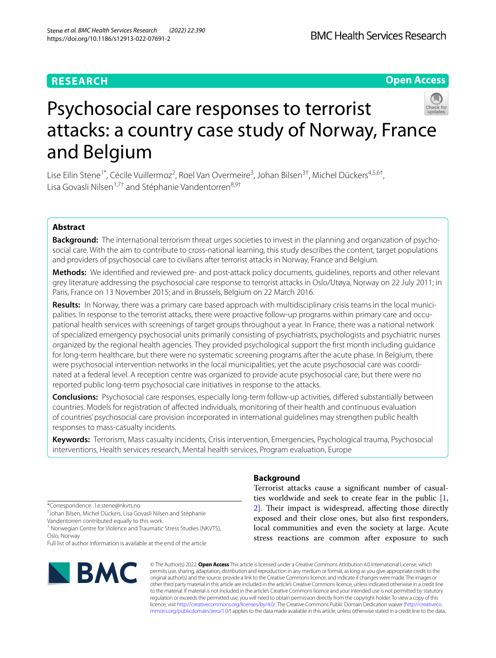## **RESEARCH**

## **Open Access**



# Psychosocial care responses to terrorist attacks: a country case study of Norway, France and Belgium

Lise Eilin Stene<sup>1\*</sup>, Cécile Vuillermoz<sup>2</sup>, Roel Van Overmeire<sup>3</sup>, Johan Bilsen<sup>3†</sup>, Michel Dückers<sup>4,5,6†</sup>, Lisa Govasli Nilsen<sup>1,7†</sup> and Stéphanie Vandentorren<sup>8,9†</sup>

## **Abstract**

**Background:** The international terrorism threat urges societies to invest in the planning and organization of psychosocial care. With the aim to contribute to cross-national learning, this study describes the content, target populations and providers of psychosocial care to civilians after terrorist attacks in Norway, France and Belgium.

**Methods:** We identifed and reviewed pre- and post-attack policy documents, guidelines, reports and other relevant grey literature addressing the psychosocial care response to terrorist attacks in Oslo/Utøya, Norway on 22 July 2011; in Paris, France on 13 November 2015; and in Brussels, Belgium on 22 March 2016.

**Results:** In Norway, there was a primary care based approach with multidisciplinary crisis teams in the local municipalities. In response to the terrorist attacks, there were proactive follow-up programs within primary care and occupational health services with screenings of target groups throughout a year. In France, there was a national network of specialized emergency psychosocial units primarily consisting of psychiatrists, psychologists and psychiatric nurses organized by the regional health agencies. They provided psychological support the frst month including guidance for long-term healthcare, but there were no systematic screening programs after the acute phase. In Belgium, there were psychosocial intervention networks in the local municipalities, yet the acute psychosocial care was coordinated at a federal level. A reception centre was organized to provide acute psychosocial care, but there were no reported public long-term psychosocial care initiatives in response to the attacks.

**Conclusions:** Psychosocial care responses, especially long-term follow-up activities, difered substantially between countries. Models for registration of afected individuals, monitoring of their health and continuous evaluation of countries' psychosocial care provision incorporated in international guidelines may strengthen public health responses to mass-casualty incidents.

**Keywords:** Terrorism, Mass casualty incidents, Crisis intervention, Emergencies, Psychological trauma, Psychosocial interventions, Health services research, Mental health services, Program evaluation, Europe

\*Correspondence: l.e.stene@nkvts.no

† Johan Bilsen, Michel Dückers, Lisa Govasli Nilsen and Stéphanie Vandentorren contributed equally to this work.

<sup>1</sup> Norwegian Centre for Violence and Traumatic Stress Studies (NKVTS), Oslo, Norway

Full list of author information is available at the end of the article



## **Background**

Terrorist attacks cause a signifcant number of casualties worldwide and seek to create fear in the public [\[1](#page-18-0), [2\]](#page-18-1). Their impact is widespread, affecting those directly exposed and their close ones, but also frst responders, local communities and even the society at large. Acute stress reactions are common after exposure to such

© The Author(s) 2022. **Open Access** This article is licensed under a Creative Commons Attribution 4.0 International License, which permits use, sharing, adaptation, distribution and reproduction in any medium or format, as long as you give appropriate credit to the original author(s) and the source, provide a link to the Creative Commons licence, and indicate if changes were made. The images or other third party material in this article are included in the article's Creative Commons licence, unless indicated otherwise in a credit line to the material. If material is not included in the article's Creative Commons licence and your intended use is not permitted by statutory regulation or exceeds the permitted use, you will need to obtain permission directly from the copyright holder. To view a copy of this licence, visit [http://creativecommons.org/licenses/by/4.0/.](http://creativecommons.org/licenses/by/4.0/) The Creative Commons Public Domain Dedication waiver ([http://creativeco](http://creativecommons.org/publicdomain/zero/1.0/) [mmons.org/publicdomain/zero/1.0/](http://creativecommons.org/publicdomain/zero/1.0/)) applies to the data made available in this article, unless otherwise stated in a credit line to the data.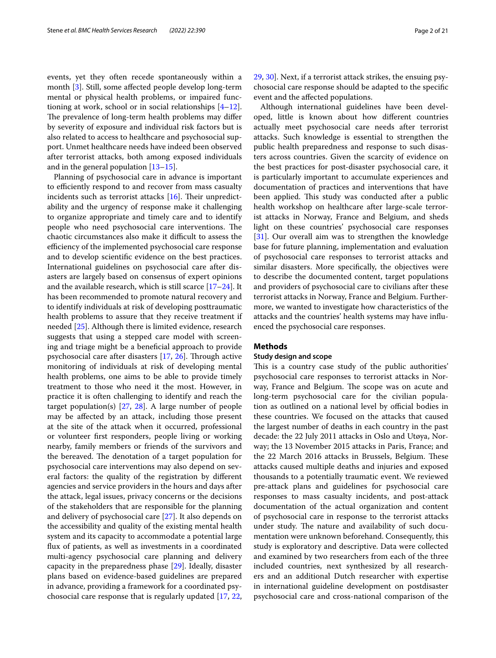events, yet they often recede spontaneously within a month [\[3](#page-18-2)]. Still, some afected people develop long-term mental or physical health problems, or impaired functioning at work, school or in social relationships [\[4](#page-18-3)[–12](#page-18-4)]. The prevalence of long-term health problems may differ by severity of exposure and individual risk factors but is also related to access to healthcare and psychosocial support. Unmet healthcare needs have indeed been observed after terrorist attacks, both among exposed individuals and in the general population [\[13](#page-18-5)–[15\]](#page-18-6).

Planning of psychosocial care in advance is important to efficiently respond to and recover from mass casualty incidents such as terrorist attacks  $[16]$  $[16]$ . Their unpredictability and the urgency of response make it challenging to organize appropriate and timely care and to identify people who need psychosocial care interventions. The chaotic circumstances also make it difficult to assess the efficiency of the implemented psychosocial care response and to develop scientifc evidence on the best practices. International guidelines on psychosocial care after disasters are largely based on consensus of expert opinions and the available research, which is still scarce [[17–](#page-18-8)[24](#page-18-9)]. It has been recommended to promote natural recovery and to identify individuals at risk of developing posttraumatic health problems to assure that they receive treatment if needed [\[25\]](#page-18-10). Although there is limited evidence, research suggests that using a stepped care model with screening and triage might be a benefcial approach to provide psychosocial care after disasters  $[17, 26]$  $[17, 26]$  $[17, 26]$  $[17, 26]$ . Through active monitoring of individuals at risk of developing mental health problems, one aims to be able to provide timely treatment to those who need it the most. However, in practice it is often challenging to identify and reach the target population(s) [\[27,](#page-18-12) [28\]](#page-18-13). A large number of people may be afected by an attack, including those present at the site of the attack when it occurred, professional or volunteer frst responders, people living or working nearby, family members or friends of the survivors and the bereaved. The denotation of a target population for psychosocial care interventions may also depend on several factors: the quality of the registration by diferent agencies and service providers in the hours and days after the attack, legal issues, privacy concerns or the decisions of the stakeholders that are responsible for the planning and delivery of psychosocial care [[27\]](#page-18-12). It also depends on the accessibility and quality of the existing mental health system and its capacity to accommodate a potential large fux of patients, as well as investments in a coordinated multi-agency psychosocial care planning and delivery capacity in the preparedness phase [[29](#page-18-14)]. Ideally, disaster plans based on evidence-based guidelines are prepared in advance, providing a framework for a coordinated psychosocial care response that is regularly updated [[17](#page-18-8), [22](#page-18-15),

[29,](#page-18-14) [30](#page-18-16)]. Next, if a terrorist attack strikes, the ensuing psychosocial care response should be adapted to the specifc event and the afected populations.

Although international guidelines have been developed, little is known about how diferent countries actually meet psychosocial care needs after terrorist attacks. Such knowledge is essential to strengthen the public health preparedness and response to such disasters across countries. Given the scarcity of evidence on the best practices for post-disaster psychosocial care, it is particularly important to accumulate experiences and documentation of practices and interventions that have been applied. This study was conducted after a public health workshop on healthcare after large-scale terrorist attacks in Norway, France and Belgium, and sheds light on these countries' psychosocial care responses [[31\]](#page-18-17). Our overall aim was to strengthen the knowledge base for future planning, implementation and evaluation of psychosocial care responses to terrorist attacks and similar disasters. More specifcally, the objectives were to describe the documented content, target populations and providers of psychosocial care to civilians after these terrorist attacks in Norway, France and Belgium. Furthermore, we wanted to investigate how characteristics of the attacks and the countries' health systems may have infuenced the psychosocial care responses.

#### **Methods**

## **Study design and scope**

This is a country case study of the public authorities' psychosocial care responses to terrorist attacks in Norway, France and Belgium. The scope was on acute and long-term psychosocial care for the civilian population as outlined on a national level by official bodies in these countries. We focused on the attacks that caused the largest number of deaths in each country in the past decade: the 22 July 2011 attacks in Oslo and Utøya, Norway; the 13 November 2015 attacks in Paris, France; and the 22 March 2016 attacks in Brussels, Belgium. These attacks caused multiple deaths and injuries and exposed thousands to a potentially traumatic event. We reviewed pre-attack plans and guidelines for psychosocial care responses to mass casualty incidents, and post-attack documentation of the actual organization and content of psychosocial care in response to the terrorist attacks under study. The nature and availability of such documentation were unknown beforehand. Consequently, this study is exploratory and descriptive. Data were collected and examined by two researchers from each of the three included countries, next synthesized by all researchers and an additional Dutch researcher with expertise in international guideline development on postdisaster psychosocial care and cross-national comparison of the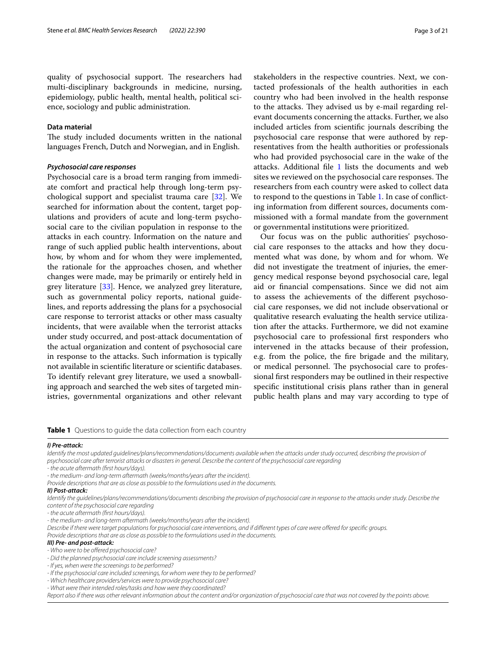quality of psychosocial support. The researchers had multi-disciplinary backgrounds in medicine, nursing, epidemiology, public health, mental health, political science, sociology and public administration.

## **Data material**

The study included documents written in the national languages French, Dutch and Norwegian, and in English.

## *Psychosocial care responses*

Psychosocial care is a broad term ranging from immediate comfort and practical help through long-term psychological support and specialist trauma care [\[32](#page-18-18)]. We searched for information about the content, target populations and providers of acute and long-term psychosocial care to the civilian population in response to the attacks in each country. Information on the nature and range of such applied public health interventions, about how, by whom and for whom they were implemented, the rationale for the approaches chosen, and whether changes were made, may be primarily or entirely held in grey literature [[33\]](#page-18-19). Hence, we analyzed grey literature, such as governmental policy reports, national guidelines, and reports addressing the plans for a psychosocial care response to terrorist attacks or other mass casualty incidents, that were available when the terrorist attacks under study occurred, and post-attack documentation of the actual organization and content of psychosocial care in response to the attacks. Such information is typically not available in scientifc literature or scientifc databases. To identify relevant grey literature, we used a snowballing approach and searched the web sites of targeted ministries, governmental organizations and other relevant

stakeholders in the respective countries. Next, we contacted professionals of the health authorities in each country who had been involved in the health response to the attacks. They advised us by e-mail regarding relevant documents concerning the attacks. Further, we also included articles from scientifc journals describing the psychosocial care response that were authored by representatives from the health authorities or professionals who had provided psychosocial care in the wake of the attacks. Additional file [1](#page-17-0) lists the documents and web sites we reviewed on the psychosocial care responses. The researchers from each country were asked to collect data to respond to the questions in Table [1.](#page-2-0) In case of conficting information from diferent sources, documents commissioned with a formal mandate from the government or governmental institutions were prioritized.

Our focus was on the public authorities' psychosocial care responses to the attacks and how they documented what was done, by whom and for whom. We did not investigate the treatment of injuries, the emergency medical response beyond psychosocial care, legal aid or fnancial compensations. Since we did not aim to assess the achievements of the diferent psychosocial care responses, we did not include observational or qualitative research evaluating the health service utilization after the attacks. Furthermore, we did not examine psychosocial care to professional frst responders who intervened in the attacks because of their profession, e.g. from the police, the fre brigade and the military, or medical personnel. The psychosocial care to professional frst responders may be outlined in their respective specifc institutional crisis plans rather than in general public health plans and may vary according to type of

<span id="page-2-0"></span>**Table 1** Questions to guide the data collection from each country

#### *I) Pre-attack:*

*Identify the most updated guidelines/plans/recommendations/documents available when the attacks under study occurred, describing the provision of psychosocial care after terrorist attacks or disasters in general. Describe the content of the psychosocial care regarding*

*- the acute aftermath (frst hours/days).*

*- the medium- and long-term aftermath (weeks/months/years after the incident).*

*Provide descriptions that are as close as possible to the formulations used in the documents.*

#### *II) Post-attack:*

*Identify the guidelines/plans/recommendations/documents describing the provision of psychosocial care in response to the attacks under study. Describe the content of the psychosocial care regarding*

*- the acute aftermath (frst hours/days).*

*- the medium- and long-term aftermath (weeks/months/years after the incident).*

*Describe if there were target populations for psychosocial care interventions, and if diferent types of care were ofered for specifc groups.*

*Provide descriptions that are as close as possible to the formulations used in the documents.*

#### *III) Pre- and post-attack:*

*- Who were to be ofered psychosocial care?*

- *Did the planned psychosocial care include screening assessments?*
- *If yes, when were the screenings to be performed?*
- *If the psychosocial care included screenings, for whom were they to be performed?*
- *Which healthcare providers/services were to provide psychosocial care?*
- *What were their intended roles/tasks and how were they coordinated?*

*Report also if there was other relevant information about the content and/or organization of psychosocial care that was not covered by the points above.*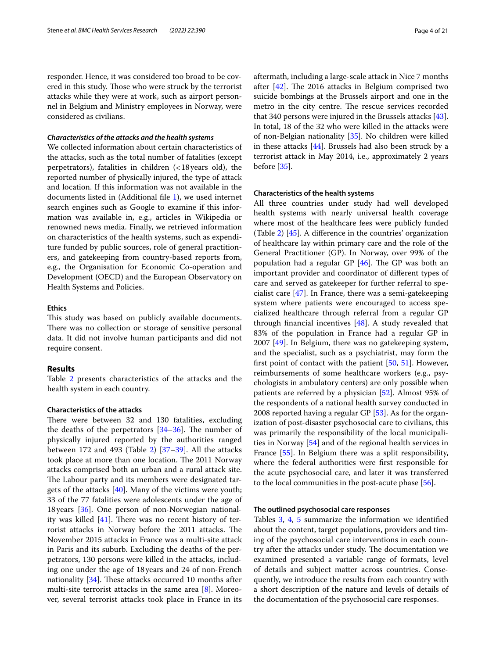responder. Hence, it was considered too broad to be covered in this study. Those who were struck by the terrorist attacks while they were at work, such as airport personnel in Belgium and Ministry employees in Norway, were considered as civilians.

## *Characteristics of the attacks and the health systems*

We collected information about certain characteristics of the attacks, such as the total number of fatalities (except perpetrators), fatalities in children (<18years old), the reported number of physically injured, the type of attack and location. If this information was not available in the documents listed in (Additional fle [1](#page-17-0)), we used internet search engines such as Google to examine if this information was available in, e.g., articles in Wikipedia or renowned news media. Finally, we retrieved information on characteristics of the health systems, such as expenditure funded by public sources, role of general practitioners, and gatekeeping from country-based reports from, e.g., the Organisation for Economic Co-operation and Development (OECD) and the European Observatory on Health Systems and Policies.

## **Ethics**

This study was based on publicly available documents. There was no collection or storage of sensitive personal data. It did not involve human participants and did not require consent.

## **Results**

Table [2](#page-4-0) presents characteristics of the attacks and the health system in each country.

#### **Characteristics of the attacks**

There were between 32 and 130 fatalities, excluding the deaths of the perpetrators  $[34-36]$  $[34-36]$  $[34-36]$ . The number of physically injured reported by the authorities ranged between 172 and 493 (Table [2\)](#page-4-0)  $[37-39]$  $[37-39]$  $[37-39]$ . All the attacks took place at more than one location. The 2011 Norway attacks comprised both an urban and a rural attack site. The Labour party and its members were designated targets of the attacks [[40\]](#page-19-1). Many of the victims were youth; 33 of the 77 fatalities were adolescents under the age of 18years [[36](#page-18-21)]. One person of non-Norwegian nationality was killed  $[41]$  $[41]$ . There was no recent history of terrorist attacks in Norway before the 2011 attacks. The November 2015 attacks in France was a multi-site attack in Paris and its suburb. Excluding the deaths of the perpetrators, 130 persons were killed in the attacks, including one under the age of 18years and 24 of non-French nationality  $[34]$  $[34]$ . These attacks occurred 10 months after multi-site terrorist attacks in the same area [\[8](#page-18-23)]. Moreover, several terrorist attacks took place in France in its aftermath, including a large-scale attack in Nice 7 months after  $[42]$  $[42]$ . The 2016 attacks in Belgium comprised two suicide bombings at the Brussels airport and one in the metro in the city centre. The rescue services recorded that 340 persons were injured in the Brussels attacks [\[43](#page-19-4)]. In total, 18 of the 32 who were killed in the attacks were of non-Belgian nationality [\[35](#page-18-24)]. No children were killed in these attacks [[44\]](#page-19-5). Brussels had also been struck by a terrorist attack in May 2014, i.e., approximately 2 years before [\[35\]](#page-18-24).

#### **Characteristics of the health systems**

All three countries under study had well developed health systems with nearly universal health coverage where most of the healthcare fees were publicly funded (Table [2\)](#page-4-0) [[45\]](#page-19-6). A diference in the countries' organization of healthcare lay within primary care and the role of the General Practitioner (GP). In Norway, over 99% of the population had a regular GP  $[46]$  $[46]$ . The GP was both an important provider and coordinator of diferent types of care and served as gatekeeper for further referral to specialist care [[47\]](#page-19-8). In France, there was a semi-gatekeeping system where patients were encouraged to access specialized healthcare through referral from a regular GP through fnancial incentives [\[48](#page-19-9)]. A study revealed that 83% of the population in France had a regular GP in 2007 [[49](#page-19-10)]. In Belgium, there was no gatekeeping system, and the specialist, such as a psychiatrist, may form the frst point of contact with the patient [\[50](#page-19-11), [51\]](#page-19-12). However, reimbursements of some healthcare workers (e.g., psychologists in ambulatory centers) are only possible when patients are referred by a physician [[52](#page-19-13)]. Almost 95% of the respondents of a national health survey conducted in 2008 reported having a regular GP [\[53\]](#page-19-14). As for the organization of post-disaster psychosocial care to civilians, this was primarily the responsibility of the local municipalities in Norway [[54\]](#page-19-15) and of the regional health services in France [\[55\]](#page-19-16). In Belgium there was a split responsibility, where the federal authorities were frst responsible for the acute psychosocial care, and later it was transferred to the local communities in the post-acute phase [\[56\]](#page-19-17).

#### **The outlined psychosocial care responses**

Tables [3,](#page-5-0) [4,](#page-8-0) [5](#page-10-0) summarize the information we identifed about the content, target populations, providers and timing of the psychosocial care interventions in each country after the attacks under study. The documentation we examined presented a variable range of formats, level of details and subject matter across countries. Consequently, we introduce the results from each country with a short description of the nature and levels of details of the documentation of the psychosocial care responses.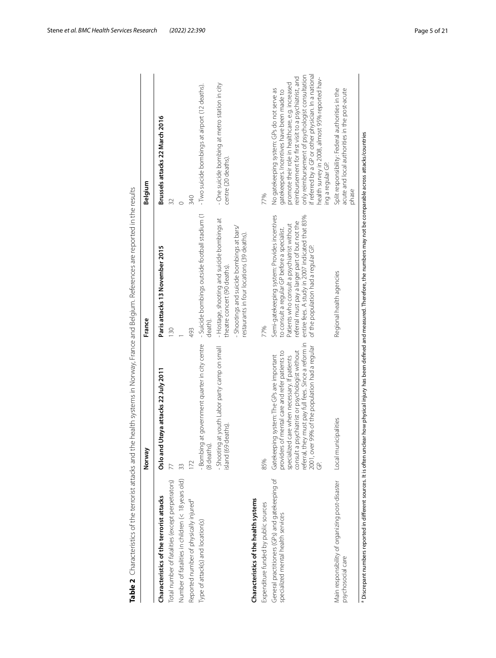|                                                                                      | Norway                                                                                                                                                                                                                                                                                                       | France                                                                                                                                                                                                                                                                                 | Belgium                                                                                                                                                                                                                                                                                                                                                             |
|--------------------------------------------------------------------------------------|--------------------------------------------------------------------------------------------------------------------------------------------------------------------------------------------------------------------------------------------------------------------------------------------------------------|----------------------------------------------------------------------------------------------------------------------------------------------------------------------------------------------------------------------------------------------------------------------------------------|---------------------------------------------------------------------------------------------------------------------------------------------------------------------------------------------------------------------------------------------------------------------------------------------------------------------------------------------------------------------|
| Characteristics of the terrorist attacks                                             | Utøya attacks 22 July 2011<br>Oslo and                                                                                                                                                                                                                                                                       | Paris attacks 13 November 2015                                                                                                                                                                                                                                                         | Brussels attacks 22 March 2016                                                                                                                                                                                                                                                                                                                                      |
| Total number of fatalities (except perpetrators)                                     |                                                                                                                                                                                                                                                                                                              | 130                                                                                                                                                                                                                                                                                    | 32                                                                                                                                                                                                                                                                                                                                                                  |
| Number of fatalities in children (< 18 years old)                                    | 33                                                                                                                                                                                                                                                                                                           |                                                                                                                                                                                                                                                                                        | $\circ$                                                                                                                                                                                                                                                                                                                                                             |
| Reported number of physically injured <sup>a</sup>                                   | 172                                                                                                                                                                                                                                                                                                          | 493                                                                                                                                                                                                                                                                                    | 340                                                                                                                                                                                                                                                                                                                                                                 |
| Type of attack(s) and location(s)                                                    | at government quarter in city centre<br>- Bombinc<br>(8 deaths).                                                                                                                                                                                                                                             | - Suicide bombings outside football stadium (1<br>death).                                                                                                                                                                                                                              | - Two suicide bombings at airport (12 deaths).                                                                                                                                                                                                                                                                                                                      |
|                                                                                      | - Shooting at youth Labor party camp on small<br>deaths)<br>island (69                                                                                                                                                                                                                                       | - Hostage, shooting and suicide bombings at<br>theatre concert (90 deaths).                                                                                                                                                                                                            | - One suicide bombing at metro station in city<br>centre (20 deaths).                                                                                                                                                                                                                                                                                               |
|                                                                                      |                                                                                                                                                                                                                                                                                                              | - Shootings and suicide bombings at bars/<br>restaurants in four locations (39 deaths).                                                                                                                                                                                                |                                                                                                                                                                                                                                                                                                                                                                     |
| Characteristics of the health systems                                                |                                                                                                                                                                                                                                                                                                              |                                                                                                                                                                                                                                                                                        |                                                                                                                                                                                                                                                                                                                                                                     |
| Expenditure funded by public sources                                                 | 85%                                                                                                                                                                                                                                                                                                          | 77%                                                                                                                                                                                                                                                                                    | 77%                                                                                                                                                                                                                                                                                                                                                                 |
| General practitioners (GPs) and gatekeeping of<br>specialized mental health services | referral, they must pay full fees. Since a reform in<br>2001, over 99% of the population had a regular<br>consult a psychiatrist or psychologist without<br>providers of mental care and refer patients to<br>Gatekeeping system: The GPs are important<br>specialized care when necessary. If patients<br>Ğ | Semi-gatekeeping system: Provides incentives<br>entire fees. A study in 2007 indicated that 83%<br>eferral must pay a larger part of but not the<br>Patients who consult a psychiatrist without<br>to consult a regular GP before a specialist.<br>of the population had a regular GP. | If referred by a GP or other physician. In a national<br>only reimbursement of psychologist consultation<br>reimbursement for first visit to a psychiatrist, and<br>health survey in 2008, almost 95% reported hav-<br>promote their role in health care, e.g. increased<br>No gatekeeping system: GPs do not serve as<br>gatekeepers. Incentives have been made to |
| Main responsibility of organizing post-disaster<br>psychosocial care                 | Local municipalities                                                                                                                                                                                                                                                                                         | Regional health agencies                                                                                                                                                                                                                                                               | Split responsibility: Federal authorities in the<br>acute and local authorities in the post-acute<br>ing a regular GP.<br>phase                                                                                                                                                                                                                                     |
|                                                                                      | Discrepant numbers reported in different sources. It is often unclear how physical injury has been defined and measured. Therefore, the numbers may not be comparable across attacks/countries                                                                                                               |                                                                                                                                                                                                                                                                                        |                                                                                                                                                                                                                                                                                                                                                                     |

<span id="page-4-0"></span>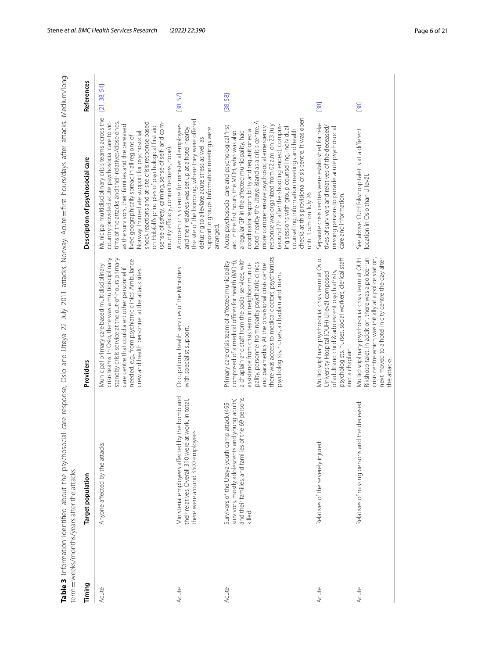<span id="page-5-0"></span>

| 112211                                                                                                           |                                   |
|------------------------------------------------------------------------------------------------------------------|-----------------------------------|
|                                                                                                                  |                                   |
|                                                                                                                  |                                   |
|                                                                                                                  |                                   |
|                                                                                                                  |                                   |
|                                                                                                                  |                                   |
|                                                                                                                  |                                   |
| social care response, Oslo and Utøya 22 July 2011 attacks, Norway. Acute = first hours/days after attacks. Mediu |                                   |
|                                                                                                                  |                                   |
|                                                                                                                  |                                   |
|                                                                                                                  |                                   |
|                                                                                                                  |                                   |
|                                                                                                                  |                                   |
|                                                                                                                  |                                   |
|                                                                                                                  |                                   |
|                                                                                                                  |                                   |
|                                                                                                                  |                                   |
|                                                                                                                  |                                   |
|                                                                                                                  |                                   |
|                                                                                                                  |                                   |
|                                                                                                                  |                                   |
|                                                                                                                  |                                   |
|                                                                                                                  |                                   |
|                                                                                                                  |                                   |
|                                                                                                                  |                                   |
| ،<br>4ء صد                                                                                                       | Ï<br>i<br>S                       |
| $\frac{4}{3}$                                                                                                    | $\frac{1}{2}$<br>l<br>1           |
| $\sim$                                                                                                           | j                                 |
|                                                                                                                  |                                   |
| $\frac{1}{2}$                                                                                                    |                                   |
|                                                                                                                  | $\overline{\phantom{a}}$<br>$-$ m |

| Timing | Target population                                                                                                                                                    | Providers                                                                                                                                                                                                                                                                                                                                                                                                                     | Description of psychosocial care                                                                                                                                                                                                                                                                                                                                                                                                                                                                                                                                                                      | References   |
|--------|----------------------------------------------------------------------------------------------------------------------------------------------------------------------|-------------------------------------------------------------------------------------------------------------------------------------------------------------------------------------------------------------------------------------------------------------------------------------------------------------------------------------------------------------------------------------------------------------------------------|-------------------------------------------------------------------------------------------------------------------------------------------------------------------------------------------------------------------------------------------------------------------------------------------------------------------------------------------------------------------------------------------------------------------------------------------------------------------------------------------------------------------------------------------------------------------------------------------------------|--------------|
| Acute  | Anyone affected by the attacks.                                                                                                                                      | crisis teams. In Oslo, there was a multidisciplinary<br>standby crisis service at the out-of-hours primary<br>needed, e.g., from psychiatric clinics. Ambulance<br>Municipal primary care based multidisciplinary<br>care centre that could alert other personnel if<br>crew and health personnel at the attack sites.                                                                                                        | Municipal multidisciplinary crisis teams across the<br>country provided acute psychosocial care to vic-<br>tims of the attacks and their relatives/close ones,<br>shock reactions and at-site crisis response based<br>(sense of safety, calming, sense of self- and com-<br>as the survivors, their families and the bereaved<br>on Hobfoll's principles of psychological first aid<br>Norway. Immediate support for psychosocial<br>lived geographically spread in all regions of<br>munity efficacy, connectedness, hope)                                                                          | [21, 38, 54] |
| Acute  | Ministerial employees affected by the bomb and<br>their relatives. Overall 310 were at work. In total,<br>there were around 3500 employees.                          | Occupational health services of the Ministries<br>with specialist support.                                                                                                                                                                                                                                                                                                                                                    | the site of the bombing, where they were offered<br>A drop-in crisis centre for ministerial employees<br>support in groups. Information meetings were<br>and their relatives was set up at a hotel nearby<br>defusing to alleviate acute stress as well as<br>arranged.                                                                                                                                                                                                                                                                                                                               | [38, 57]     |
| Acute  | and their families, and families of the 69 persons<br>young adults)<br>Survivors of the Utøya youth camp attack (495<br>survivors, mostly adolescents and<br>killed. | there was access to medical doctors, psychiatrists,<br>a chaplain and staff from the social services, with<br>composed of a medical officer for health (MOH),<br>Primary care crisis team of affected municipality<br>bality, personnel from nearby psychiatric clinics<br>assistance from crisis team in neighbor munici-<br>and paramedics. At the provisional crisis centre<br>psychologists, nurses, a chaplain and imam. | checks at this provisional crisis centre. It was open<br>hotel nearby the Utøya island as a crisis centre. A<br>response was organized from 02 a.m. on 23 July<br>(around 7 h after the shooting ended), compris-<br>Acute psychosocial care and psychological first<br>more comprehensive psychosocial emergency<br>ing sessions with group counselling, individual<br>counselling, information meetings and health<br>coordinator responsibility and requisitioned a<br>aid. In the first hours, the MOH, who was also<br>a regular GP in the affected municipality, had<br>until 1 p.m. on July 26 | [38, 58]     |
| Acute  | Relatives of the severely injured.                                                                                                                                   | psychologists, nurses, social workers, clerical staff<br>Multidisciplinary psychosocial crisis team at Oslo<br>of adult and child & adolescent psychiatrists,<br>University Hospital (OUH) Ullevål composed<br>and a chaplain.                                                                                                                                                                                                | Separate crisis centres were established for rela-<br>tives of survivors and relatives of the deceased/<br>missing persons to provide acute psychosocial<br>care and information.                                                                                                                                                                                                                                                                                                                                                                                                                     | [38]         |
| Acute  | Relatives of missing persons and the deceased.                                                                                                                       | Rikshospitalet. In addition, there was a police-run<br>crisis centre which was initially at a police station,<br>Multidisciplinary psychosocial crisis team at OUH<br>next moved to a hotel in city centre the day after<br>the attacks.                                                                                                                                                                                      | See above. OUH Rikshospitalet is at a different<br>location in Oslo than Ullevål.                                                                                                                                                                                                                                                                                                                                                                                                                                                                                                                     | $[38]$       |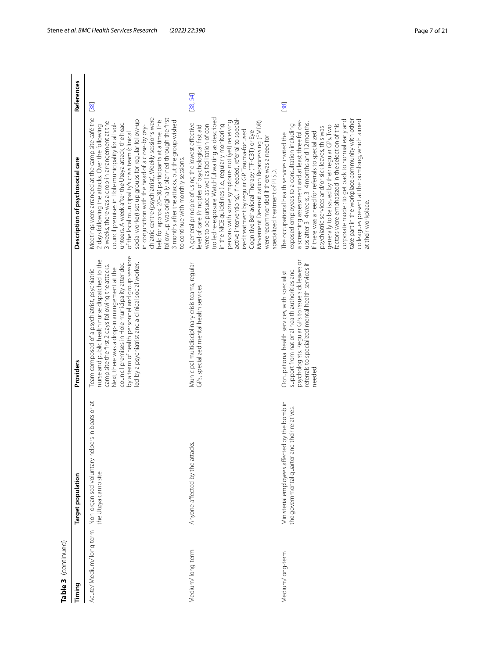| Table 3 (continued)<br>Timing | Target population                                                                              | Providers                                                                                                                                                                                                                                                                                                                                                         | Description of psychosocial care                                                                                                                                                                                                                                                                                                                                                                                                                                                                                                                                                                                                                                                               | References |
|-------------------------------|------------------------------------------------------------------------------------------------|-------------------------------------------------------------------------------------------------------------------------------------------------------------------------------------------------------------------------------------------------------------------------------------------------------------------------------------------------------------------|------------------------------------------------------------------------------------------------------------------------------------------------------------------------------------------------------------------------------------------------------------------------------------------------------------------------------------------------------------------------------------------------------------------------------------------------------------------------------------------------------------------------------------------------------------------------------------------------------------------------------------------------------------------------------------------------|------------|
| Acute/Medium/long-term        | Non-organised voluntary helpers in boats or at<br>the Utøya camp site                          | by a team of health personnel and group sessions<br>nurse and public health nurse dispatched to the<br>council premises in Hole municipality attended<br>led by a psychiatrist and a clinical social worker.<br>camp site the first 2 days following the attacks.<br>Next, there was a drop-in arrangement at the<br>Team composed of a psychiatrist, psychiatric | Meetings were arranged at the camp site café the<br>chiatric centre (psychiatrist). Weekly sessions were<br>follow-up was originally planned through the first<br>held for approx. 20-30 participants at a time. This<br>social worker) set up groups for regular follow-up<br>3 months after the attacks, but the group wished<br>3 weeks, there was a drop-in arrangement at the<br>unteers. A week after the Utøya attack, the head<br>council premises in Hole municipality for all vol-<br>in conjunction with the head of a close-by psy-<br>2 days following the attacks. Over the following<br>of the local municipality's crisis team (clinical<br>to continue with monthly sessions. | $[38]$     |
| Medium/long-term              | Anyone affected by the attacks.                                                                | Municipal multidisciplinary crisis teams, regular<br>GPs, specialized mental health services                                                                                                                                                                                                                                                                      | trolled re-exposure. Watchful waiting as described<br>active interventions). If needed, referral to special-<br>persons with some symptoms not (yet) receiving<br>Movement Desensitization Reprocessing (EMDR)<br>were to be pursued as well as facilitation of con-<br>A general principle of using the lowest effective<br>in the NICE guidelines (i.e., regularly monitoring<br>level of care. Principles of psychological first aid<br>ized treatment by regular GP. Trauma-focused<br>Cognitive Behavioral Therapy (TF-CBT) or Eye<br>were recommended if there was a need for<br>specialized treatment of PTSD.                                                                          | [38, 54]   |
| Medium/long-term              | Ministerial employees affected by the bomb in<br>the governmental quarter and their relatives. | psychologists. Regular GPs to issue sick leaves or<br>referrals to specialized mental health services if<br>support from national health authorities and<br>Occupational health services, with specialist<br>needed                                                                                                                                               | take part in the workplace community with other<br>corporate model: to get back to normal early and<br>colleagues present at the bombing, which aimed<br>a screening assessment and at least three follow-<br>ups after 3-4 weeks, 3-4 months and 12 months.<br>factors were emphasized in the selection of this<br>exposed employees to a consultation including<br>generally to be issued by their regular GPs. Two<br>psychiatric services and/or sick leaves, this was<br>If there was a need for referrals to specialized<br>The occupational health services invited the<br>at their workplace.                                                                                          | $[38]$     |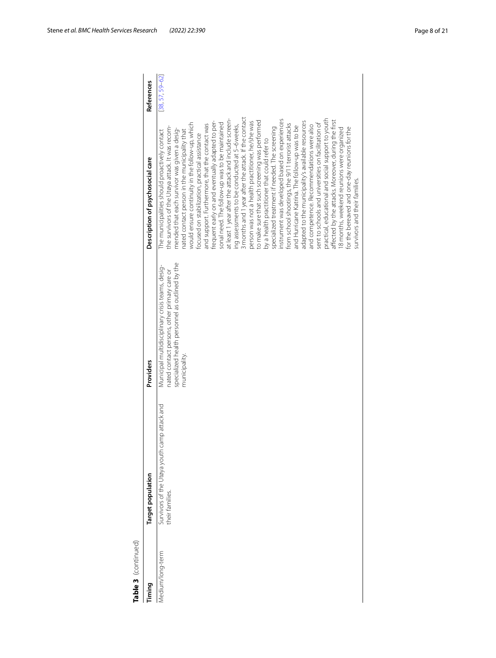| Table 3 (continued) |                                                                 |                                                                                                                                                                      |                                                                                                                                                                                                                                                                                                                                                                                                                                                                                                                                                                                                                                                                                                                                                                                                                                                                                                                                                                                                                                                                                                                                                                                                                                                                                                                                                                                                       |                     |
|---------------------|-----------------------------------------------------------------|----------------------------------------------------------------------------------------------------------------------------------------------------------------------|-------------------------------------------------------------------------------------------------------------------------------------------------------------------------------------------------------------------------------------------------------------------------------------------------------------------------------------------------------------------------------------------------------------------------------------------------------------------------------------------------------------------------------------------------------------------------------------------------------------------------------------------------------------------------------------------------------------------------------------------------------------------------------------------------------------------------------------------------------------------------------------------------------------------------------------------------------------------------------------------------------------------------------------------------------------------------------------------------------------------------------------------------------------------------------------------------------------------------------------------------------------------------------------------------------------------------------------------------------------------------------------------------------|---------------------|
| Timing              | Target population                                               | Providers                                                                                                                                                            | Description of psychosocial care                                                                                                                                                                                                                                                                                                                                                                                                                                                                                                                                                                                                                                                                                                                                                                                                                                                                                                                                                                                                                                                                                                                                                                                                                                                                                                                                                                      | References          |
| Medium/long-term    | Survivors of the Utøya youth camp attack and<br>their families. | specialized health personnel as outlined by the<br>Municipal multidisciplinary crisis teams, desig-<br>nated contact persons, other primary care or<br>municipality. | 3 months and 1 year after the attack. If the contact<br>nstrument was developed based on experiences<br>practical, educational and social support to youth<br>affected by the attacks. Moreover, during the first<br>at least 1 year after the attack and include screen-<br>person was not a health practitioner, he/she was<br>to make sure that such screening was performed<br>frequent early on and eventually adapted to per-<br>adapted to the municipality's available resources<br>would ensure continuity in the follow-up, which<br>sonal need. The follow-up was to be maintained<br>sent to schools and universities on facilitation of<br>from school shootings, the 9/11 terrorist attacks<br>and support. Furthermore, that the contact was<br>and competence. Recommendations were also<br>ing assessments to be conducted at 5-6 weeks,<br>and Hurricane Katrina. The follow-up was to be<br>the survivors of the Utøya attack. It was recom-<br>specialized treatment if needed. The screening<br>for the bereaved and one-day reunions for the<br>18 months, weekend reunions were organized<br>mended that each survivor was given a desig-<br>hated contact person in the municipality that<br>The municipalities should proactively contact<br>focused on stabilization, practical assistance<br>by a health practitioner that could refer to<br>survivors and their families. | $[38, 57, 59 - 62]$ |
|                     |                                                                 |                                                                                                                                                                      |                                                                                                                                                                                                                                                                                                                                                                                                                                                                                                                                                                                                                                                                                                                                                                                                                                                                                                                                                                                                                                                                                                                                                                                                                                                                                                                                                                                                       |                     |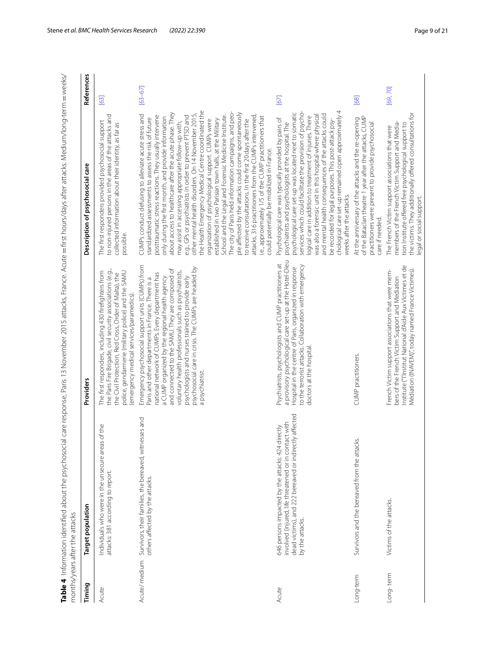<span id="page-8-0"></span>

| ך<br>כ<br>م/<br>م                                                                                               |  |
|-----------------------------------------------------------------------------------------------------------------|--|
| l                                                                                                               |  |
| i-term = wee                                                                                                    |  |
|                                                                                                                 |  |
|                                                                                                                 |  |
|                                                                                                                 |  |
|                                                                                                                 |  |
|                                                                                                                 |  |
|                                                                                                                 |  |
|                                                                                                                 |  |
|                                                                                                                 |  |
|                                                                                                                 |  |
|                                                                                                                 |  |
|                                                                                                                 |  |
|                                                                                                                 |  |
|                                                                                                                 |  |
|                                                                                                                 |  |
|                                                                                                                 |  |
|                                                                                                                 |  |
|                                                                                                                 |  |
|                                                                                                                 |  |
|                                                                                                                 |  |
| ocial care response. Paris 13 November 2015 attacks, France. Acute = first hours/days after attacks. Medium/lon |  |
|                                                                                                                 |  |
|                                                                                                                 |  |
|                                                                                                                 |  |
|                                                                                                                 |  |
|                                                                                                                 |  |
|                                                                                                                 |  |
|                                                                                                                 |  |
|                                                                                                                 |  |
|                                                                                                                 |  |
|                                                                                                                 |  |
|                                                                                                                 |  |
|                                                                                                                 |  |
|                                                                                                                 |  |
|                                                                                                                 |  |
| c<br>1<br>1<br>1<br>1<br>1<br>1<br>1<br>1<br>1<br>1<br>1<br>1<br>1<br>1<br>1<br>1<br>1<br>1                     |  |
|                                                                                                                 |  |
| l                                                                                                               |  |
| i<br>Sisa                                                                                                       |  |
| ة<br>ا                                                                                                          |  |
|                                                                                                                 |  |
|                                                                                                                 |  |
|                                                                                                                 |  |

| Timing       | larget population                                                                                                                                                                         | Providers                                                                                                                                                                                                                                                                                                                                                                                                                                               | Description of psychosocial care                                                                                                                                                                                                                                                                                                                                                                                                                                                                                                                                                                                                                                                                                                                                                                                                                                                                                                                                                                                                                 | References  |
|--------------|-------------------------------------------------------------------------------------------------------------------------------------------------------------------------------------------|---------------------------------------------------------------------------------------------------------------------------------------------------------------------------------------------------------------------------------------------------------------------------------------------------------------------------------------------------------------------------------------------------------------------------------------------------------|--------------------------------------------------------------------------------------------------------------------------------------------------------------------------------------------------------------------------------------------------------------------------------------------------------------------------------------------------------------------------------------------------------------------------------------------------------------------------------------------------------------------------------------------------------------------------------------------------------------------------------------------------------------------------------------------------------------------------------------------------------------------------------------------------------------------------------------------------------------------------------------------------------------------------------------------------------------------------------------------------------------------------------------------------|-------------|
| Acute        | Individuals who were in the unsecure areas of the<br>attacks: 381 according to report.                                                                                                    | the Paris Fire Brigade, civil security associations (e.g.,<br>The first responders, including 430 firefighters from<br>police, gendarmerie (military police) and the SAMU<br>the Civil Protection, Red Cross, Order of Malta), the<br>(emergency medical services/paramedics).                                                                                                                                                                          | to non-injured persons in the areas of the attacks and<br>The first responders provided psychosocial support<br>collected information about their identity, as far as<br>possible.                                                                                                                                                                                                                                                                                                                                                                                                                                                                                                                                                                                                                                                                                                                                                                                                                                                               | [63]        |
| Acute/medium | Survivors, their families, the bereaved, witnesses and<br>others affected by the attacks.                                                                                                 | Emergency psychosocial support units (CUMPs) from<br>psychosocial care in crisis. The CUMPs are headed by<br>and connected to the SAMU. They are composed of<br>voluntary health professionals such as psychiatrists,<br>national network of CUMPs. Every department has<br>psychologists and nurses trained to provide early<br>a CUMP organized by the regional health agency<br>Paris and other departments in France. There is a<br>a psychiatrist. | the Health Emergency Medical Centre coordinated the<br>The city of Paris held information campaigns, and peo-<br>ple affected by the attacks could come spontaneously<br>about access to healthcare after the acute phase. They<br>other mental health disorders. On 14 November 2015,<br>CUMPs conduct defusing to alleviate acute stress and<br>School and the Legal and Forensic Medicine Institute.<br>posttraumatic stress reactions. They usually intervene<br>e.g., GPs or psychiatrists in order to prevent PTSD and<br>attacks, 316 practitioners from the CUMPs intervened,<br>i.e., approximately 1/5 of the CUMP practitioners that<br>only during the first month, and provide information<br>standardized assessments to assess the risk of future<br>established in two Parisian town halls, at the Military<br>to receive consultations. In the first 20 days after the<br>organization of psychological support. CUMPs were<br>may assist in accessing appropriate follow-up with,<br>could potentially be mobilized in France. | $[63 - 67]$ |
| Acute        | affected<br>involved (injured, life threatened or in contact with<br>646 persons impacted by the attacks: 424 directly<br>dead victims), and 222 bereaved or indirectly<br>by the attacks | a provisory psychological care set-up at the Hotel-Dieu<br>Psychiatrists, psychologists and CUMP practitioners at<br>to the terrorist attacks. Collaboration with emergency<br>Hospital in the centre of Paris, organized in response<br>doctors at the hospital                                                                                                                                                                                        | chological care set-up remained open approximately 4<br>services which could facilitate the provision of psycho-<br>psychological care set-up was located next to somatic<br>and mental health consequences of the attacks could<br>was also a forensic unit in this hospital where physical<br>logical care in addition to treatment of injuries. There<br>Psychological care was typically provided by pairs of<br>be recorded for legal purposes. This post-attack psy-<br>psychiatrists and psychologists at the hospital. The<br>weeks after the attacks.                                                                                                                                                                                                                                                                                                                                                                                                                                                                                   | [67]        |
| Long-term    | Survivors and the bereaved from the attacks.                                                                                                                                              | CUMP practitioners.                                                                                                                                                                                                                                                                                                                                                                                                                                     | of the Bataclan theatre 1 year after the attacks, CUMP<br>At the anniversary of the attacks and the re-opening<br>practitioners were present to provide psychosocial<br>care if needed.                                                                                                                                                                                                                                                                                                                                                                                                                                                                                                                                                                                                                                                                                                                                                                                                                                                          | [68]        |
| Long-term    | Victims of the attacks.                                                                                                                                                                   | Institute ("I'Institut National d'Aide Aux Victimes et de<br>Médiation (INAVEM)", today named France Victimes).<br>French Victim support associations that were mem-<br>bers of the French Victim Support and Mediation                                                                                                                                                                                                                                 | the victims. They additionally offered consultations for<br>members of the French Victim Support and Media-<br>tion Institute offered free psychological support to<br>The French Victim support associations that were<br>egal or social support.                                                                                                                                                                                                                                                                                                                                                                                                                                                                                                                                                                                                                                                                                                                                                                                               | [69,70]     |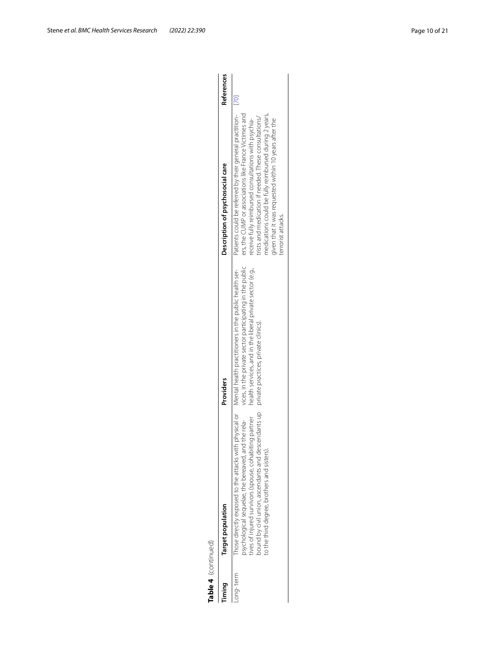| t<br>ı |  |
|--------|--|
| ٦      |  |
|        |  |

| Table 4 (continued) |                                                                                                                                                                                                                                                                                                                                  |                                                                                                                                                               |                                                                                                                                                                                                                                                                                                                                                                                  |            |
|---------------------|----------------------------------------------------------------------------------------------------------------------------------------------------------------------------------------------------------------------------------------------------------------------------------------------------------------------------------|---------------------------------------------------------------------------------------------------------------------------------------------------------------|----------------------------------------------------------------------------------------------------------------------------------------------------------------------------------------------------------------------------------------------------------------------------------------------------------------------------------------------------------------------------------|------------|
| iming               | Target population                                                                                                                                                                                                                                                                                                                | Providers                                                                                                                                                     | Description of psychosocial care                                                                                                                                                                                                                                                                                                                                                 | References |
| ong-term            | Those directly exposed to the attacks with physical or Mental health practitioners in the public health ser-<br>ound by civil union, ascendants and descendants up<br>ives of injured survivors (spouse, cohabiting partner<br>osychological sequelae, the bereaved, and the rela-<br>o the third degree, brothers and sisters). | vices, in the private sector participating in the public<br>health services, and in the liberal private sector (e.g.,<br>private practices, private clinics). | Patients could be referred by their general practition-<br>[70]<br>ers, the CUMP or associations like France Victimes and<br>medications could be fully reimbursed during 2 years,<br>rists and medication if needed. These consultations/<br>receive fully reimbursed consultations with psychia-<br>jiven that it was requested within 10 years after the<br>errorist attacks. |            |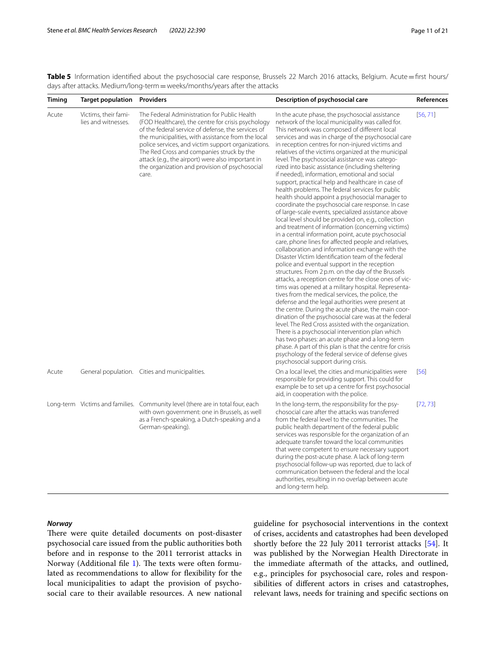<span id="page-10-0"></span>**Table 5** Information identified about the psychosocial care response, Brussels 22 March 2016 attacks, Belgium. Acute=first hours/ days after attacks. Medium/long-term = weeks/months/years after the attacks

| <b>Timing</b> | <b>Target population</b>                    | <b>Providers</b>                                                                                                                                                                                                                                                                                                                                                                                                                  | Description of psychosocial care                                                                                                                                                                                                                                                                                                                                                                                                                                                                                                                                                                                                                                                                                                                                                                                                                                                                                                                                                                                                                                                                                                                                                                                                                                                                                                                                                                                                                                                                                                                                                                                                                                                                                                                                                                                                                               | References |
|---------------|---------------------------------------------|-----------------------------------------------------------------------------------------------------------------------------------------------------------------------------------------------------------------------------------------------------------------------------------------------------------------------------------------------------------------------------------------------------------------------------------|----------------------------------------------------------------------------------------------------------------------------------------------------------------------------------------------------------------------------------------------------------------------------------------------------------------------------------------------------------------------------------------------------------------------------------------------------------------------------------------------------------------------------------------------------------------------------------------------------------------------------------------------------------------------------------------------------------------------------------------------------------------------------------------------------------------------------------------------------------------------------------------------------------------------------------------------------------------------------------------------------------------------------------------------------------------------------------------------------------------------------------------------------------------------------------------------------------------------------------------------------------------------------------------------------------------------------------------------------------------------------------------------------------------------------------------------------------------------------------------------------------------------------------------------------------------------------------------------------------------------------------------------------------------------------------------------------------------------------------------------------------------------------------------------------------------------------------------------------------------|------------|
| Acute         | Victims, their fami-<br>lies and witnesses. | The Federal Administration for Public Health<br>(FOD Healthcare), the centre for crisis psychology<br>of the federal service of defense, the services of<br>the municipalities, with assistance from the local<br>police services, and victim support organizations.<br>The Red Cross and companies struck by the<br>attack (e.g., the airport) were also important in<br>the organization and provision of psychosocial<br>care. | In the acute phase, the psychosocial assistance<br>network of the local municipality was called for.<br>This network was composed of different local<br>services and was in charge of the psychosocial care<br>in reception centres for non-injured victims and<br>relatives of the victims organized at the municipal<br>level. The psychosocial assistance was catego-<br>rized into basic assistance (including sheltering<br>if needed), information, emotional and social<br>support, practical help and healthcare in case of<br>health problems. The federal services for public<br>health should appoint a psychosocial manager to<br>coordinate the psychosocial care response. In case<br>of large-scale events, specialized assistance above<br>local level should be provided on, e.g., collection<br>and treatment of information (concerning victims)<br>in a central information point, acute psychosocial<br>care, phone lines for affected people and relatives,<br>collaboration and information exchange with the<br>Disaster Victim Identification team of the federal<br>police and eventual support in the reception<br>structures. From 2 p.m. on the day of the Brussels<br>attacks, a reception centre for the close ones of vic-<br>tims was opened at a military hospital. Representa-<br>tives from the medical services, the police, the<br>defense and the legal authorities were present at<br>the centre. During the acute phase, the main coor-<br>dination of the psychosocial care was at the federal<br>level. The Red Cross assisted with the organization.<br>There is a psychosocial intervention plan which<br>has two phases: an acute phase and a long-term<br>phase. A part of this plan is that the centre for crisis<br>psychology of the federal service of defense gives<br>psychosocial support during crisis. | [56, 71]   |
| Acute         |                                             | General population. Cities and municipalities.                                                                                                                                                                                                                                                                                                                                                                                    | On a local level, the cities and municipalities were<br>responsible for providing support. This could for<br>example be to set up a centre for first psychosocial<br>aid, in cooperation with the police.                                                                                                                                                                                                                                                                                                                                                                                                                                                                                                                                                                                                                                                                                                                                                                                                                                                                                                                                                                                                                                                                                                                                                                                                                                                                                                                                                                                                                                                                                                                                                                                                                                                      | [56]       |
|               |                                             | Long-term Victims and families. Community level (there are in total four, each<br>with own government: one in Brussels, as well<br>as a French-speaking, a Dutch-speaking and a<br>German-speaking).                                                                                                                                                                                                                              | In the long-term, the responsibility for the psy-<br>chosocial care after the attacks was transferred<br>from the federal level to the communities. The<br>public health department of the federal public<br>services was responsible for the organization of an<br>adequate transfer toward the local communities<br>that were competent to ensure necessary support<br>during the post-acute phase. A lack of long-term<br>psychosocial follow-up was reported, due to lack of<br>communication between the federal and the local<br>authorities, resulting in no overlap between acute<br>and long-term help.                                                                                                                                                                                                                                                                                                                                                                                                                                                                                                                                                                                                                                                                                                                                                                                                                                                                                                                                                                                                                                                                                                                                                                                                                                               | [72, 73]   |

## *Norway*

There were quite detailed documents on post-disaster psychosocial care issued from the public authorities both before and in response to the 2011 terrorist attacks in Norway (Additional file [1\)](#page-17-0). The texts were often formulated as recommendations to allow for fexibility for the local municipalities to adapt the provision of psychosocial care to their available resources. A new national guideline for psychosocial interventions in the context of crises, accidents and catastrophes had been developed shortly before the 22 July 2011 terrorist attacks [\[54\]](#page-19-15). It was published by the Norwegian Health Directorate in the immediate aftermath of the attacks, and outlined, e.g., principles for psychosocial care, roles and responsibilities of diferent actors in crises and catastrophes, relevant laws, needs for training and specifc sections on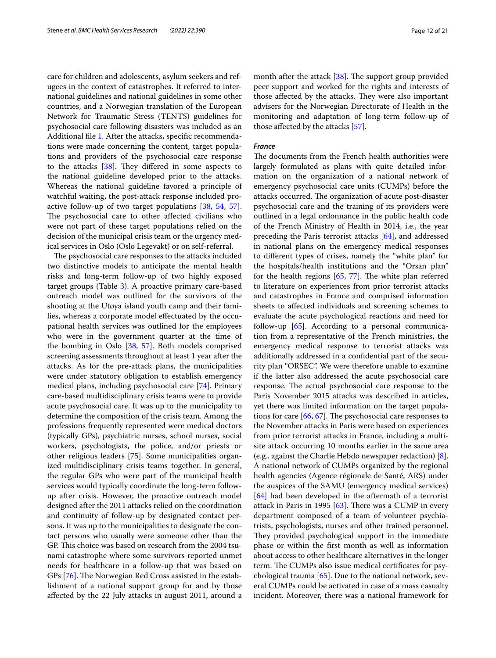care for children and adolescents, asylum seekers and refugees in the context of catastrophes. It referred to international guidelines and national guidelines in some other countries, and a Norwegian translation of the European Network for Traumatic Stress (TENTS) guidelines for psychosocial care following disasters was included as an Additional fle [1](#page-17-0). After the attacks, specifc recommendations were made concerning the content, target populations and providers of the psychosocial care response to the attacks  $[38]$ . They differed in some aspects to the national guideline developed prior to the attacks. Whereas the national guideline favored a principle of watchful waiting, the post-attack response included proactive follow-up of two target populations [\[38,](#page-18-26) [54](#page-19-15), [57](#page-19-18)]. The psychosocial care to other affected civilians who were not part of these target populations relied on the decision of the municipal crisis team or the urgency medical services in Oslo (Oslo Legevakt) or on self-referral.

The psychosocial care responses to the attacks included two distinctive models to anticipate the mental health risks and long-term follow-up of two highly exposed target groups (Table [3](#page-5-0)). A proactive primary care-based outreach model was outlined for the survivors of the shooting at the Utøya island youth camp and their families, whereas a corporate model efectuated by the occupational health services was outlined for the employees who were in the government quarter at the time of the bombing in Oslo [[38,](#page-18-26) [57\]](#page-19-18). Both models comprised screening assessments throughout at least 1 year after the attacks. As for the pre-attack plans, the municipalities were under statutory obligation to establish emergency medical plans, including psychosocial care [[74\]](#page-19-30). Primary care-based multidisciplinary crisis teams were to provide acute psychosocial care. It was up to the municipality to determine the composition of the crisis team. Among the professions frequently represented were medical doctors (typically GPs), psychiatric nurses, school nurses, social workers, psychologists, the police, and/or priests or other religious leaders [[75](#page-19-31)]. Some municipalities organized multidisciplinary crisis teams together. In general, the regular GPs who were part of the municipal health services would typically coordinate the long-term followup after crisis. However, the proactive outreach model designed after the 2011 attacks relied on the coordination and continuity of follow-up by designated contact persons. It was up to the municipalities to designate the contact persons who usually were someone other than the GP. This choice was based on research from the 2004 tsunami catastrophe where some survivors reported unmet needs for healthcare in a follow-up that was based on GPs [[76\]](#page-19-32). The Norwegian Red Cross assisted in the establishment of a national support group for and by those afected by the 22 July attacks in august 2011, around a month after the attack  $[38]$  $[38]$ . The support group provided peer support and worked for the rights and interests of those affected by the attacks. They were also important advisers for the Norwegian Directorate of Health in the monitoring and adaptation of long-term follow-up of those afected by the attacks [\[57\]](#page-19-18).

## *France*

The documents from the French health authorities were largely formulated as plans with quite detailed information on the organization of a national network of emergency psychosocial care units (CUMPs) before the attacks occurred. The organization of acute post-disaster psychosocial care and the training of its providers were outlined in a legal ordonnance in the public health code of the French Ministry of Health in 2014, i.e., the year preceding the Paris terrorist attacks [[64\]](#page-19-33), and addressed in national plans on the emergency medical responses to diferent types of crises, namely the "white plan" for the hospitals/health institutions and the "Orsan plan" for the health regions  $[65, 77]$  $[65, 77]$  $[65, 77]$  $[65, 77]$  $[65, 77]$ . The white plan referred to literature on experiences from prior terrorist attacks and catastrophes in France and comprised information sheets to afected individuals and screening schemes to evaluate the acute psychological reactions and need for follow-up [\[65](#page-19-34)]. According to a personal communication from a representative of the French ministries, the emergency medical response to terrorist attacks was additionally addressed in a confdential part of the security plan "ORSEC". We were therefore unable to examine if the latter also addressed the acute psychosocial care response. The actual psychosocial care response to the Paris November 2015 attacks was described in articles, yet there was limited information on the target populations for care  $[66, 67]$  $[66, 67]$  $[66, 67]$  $[66, 67]$ . The psychosocial care responses to the November attacks in Paris were based on experiences from prior terrorist attacks in France, including a multisite attack occurring 10 months earlier in the same area (e.g., against the Charlie Hebdo newspaper redaction) [\[8](#page-18-23)]. A national network of CUMPs organized by the regional health agencies (Agence régionale de Santé, ARS) under the auspices of the SAMU (emergency medical services) [[64\]](#page-19-33) had been developed in the aftermath of a terrorist attack in Paris in 1995  $[63]$  $[63]$ . There was a CUMP in every department composed of a team of volunteer psychiatrists, psychologists, nurses and other trained personnel. They provided psychological support in the immediate phase or within the frst month as well as information about access to other healthcare alternatives in the longer term. The CUMPs also issue medical certificates for psychological trauma [[65\]](#page-19-34). Due to the national network, several CUMPs could be activated in case of a mass casualty incident. Moreover, there was a national framework for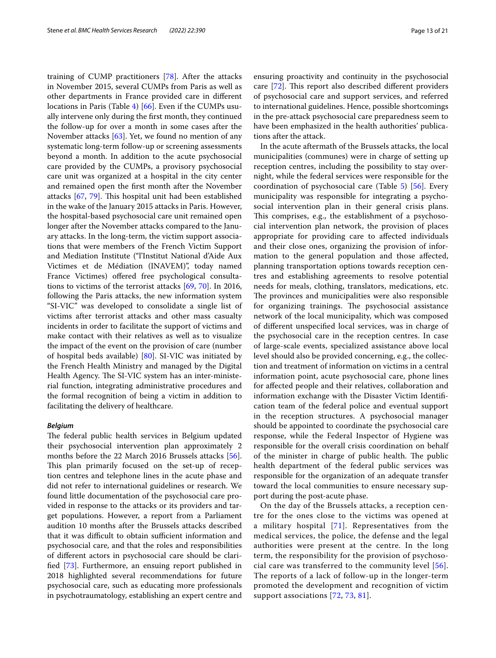training of CUMP practitioners [\[78\]](#page-20-0). After the attacks in November 2015, several CUMPs from Paris as well as other departments in France provided care in diferent locations in Paris (Table [4](#page-8-0)) [[66](#page-19-36)]. Even if the CUMPs usually intervene only during the frst month, they continued the follow-up for over a month in some cases after the November attacks [\[63](#page-19-22)]. Yet, we found no mention of any systematic long-term follow-up or screening assessments beyond a month. In addition to the acute psychosocial care provided by the CUMPs, a provisory psychosocial care unit was organized at a hospital in the city center and remained open the frst month after the November attacks  $[67, 79]$  $[67, 79]$  $[67, 79]$  $[67, 79]$  $[67, 79]$ . This hospital unit had been established in the wake of the January 2015 attacks in Paris. However, the hospital-based psychosocial care unit remained open longer after the November attacks compared to the January attacks. In the long-term, the victim support associations that were members of the French Victim Support and Mediation Institute ("l'Institut National d'Aide Aux Victimes et de Médiation (INAVEM)", today named France Victimes) offered free psychological consultations to victims of the terrorist attacks [\[69](#page-19-25), [70](#page-19-26)]. In 2016, following the Paris attacks, the new information system "SI-VIC" was developed to consolidate a single list of victims after terrorist attacks and other mass casualty incidents in order to facilitate the support of victims and make contact with their relatives as well as to visualize the impact of the event on the provision of care (number of hospital beds available) [[80\]](#page-20-2). SI-VIC was initiated by the French Health Ministry and managed by the Digital Health Agency. The SI-VIC system has an inter-ministerial function, integrating administrative procedures and the formal recognition of being a victim in addition to facilitating the delivery of healthcare.

## *Belgium*

The federal public health services in Belgium updated their psychosocial intervention plan approximately 2 months before the 22 March 2016 Brussels attacks [\[56](#page-19-17)]. This plan primarily focused on the set-up of reception centres and telephone lines in the acute phase and did not refer to international guidelines or research. We found little documentation of the psychosocial care provided in response to the attacks or its providers and target populations. However, a report from a Parliament audition 10 months after the Brussels attacks described that it was difficult to obtain sufficient information and psychosocial care, and that the roles and responsibilities of diferent actors in psychosocial care should be clarifed [\[73](#page-19-29)]. Furthermore, an ensuing report published in 2018 highlighted several recommendations for future psychosocial care, such as educating more professionals in psychotraumatology, establishing an expert centre and ensuring proactivity and continuity in the psychosocial care  $[72]$  $[72]$ . This report also described different providers of psychosocial care and support services, and referred to international guidelines. Hence, possible shortcomings in the pre-attack psychosocial care preparedness seem to have been emphasized in the health authorities' publications after the attack.

In the acute aftermath of the Brussels attacks, the local municipalities (communes) were in charge of setting up reception centres, including the possibility to stay overnight, while the federal services were responsible for the coordination of psychosocial care (Table [5\)](#page-10-0) [\[56](#page-19-17)]. Every municipality was responsible for integrating a psychosocial intervention plan in their general crisis plans. This comprises, e.g., the establishment of a psychosocial intervention plan network, the provision of places appropriate for providing care to afected individuals and their close ones, organizing the provision of information to the general population and those afected, planning transportation options towards reception centres and establishing agreements to resolve potential needs for meals, clothing, translators, medications, etc. The provinces and municipalities were also responsible for organizing trainings. The psychosocial assistance network of the local municipality, which was composed of diferent unspecifed local services, was in charge of the psychosocial care in the reception centres. In case of large-scale events, specialized assistance above local level should also be provided concerning, e.g., the collection and treatment of information on victims in a central information point, acute psychosocial care, phone lines for afected people and their relatives, collaboration and information exchange with the Disaster Victim Identifcation team of the federal police and eventual support in the reception structures. A psychosocial manager should be appointed to coordinate the psychosocial care response, while the Federal Inspector of Hygiene was responsible for the overall crisis coordination on behalf of the minister in charge of public health. The public health department of the federal public services was responsible for the organization of an adequate transfer toward the local communities to ensure necessary support during the post-acute phase.

On the day of the Brussels attacks, a reception centre for the ones close to the victims was opened at a military hospital [[71](#page-19-27)]. Representatives from the medical services, the police, the defense and the legal authorities were present at the centre. In the long term, the responsibility for the provision of psychosocial care was transferred to the community level [[56\]](#page-19-17). The reports of a lack of follow-up in the longer-term promoted the development and recognition of victim support associations [\[72,](#page-19-28) [73,](#page-19-29) [81](#page-20-3)].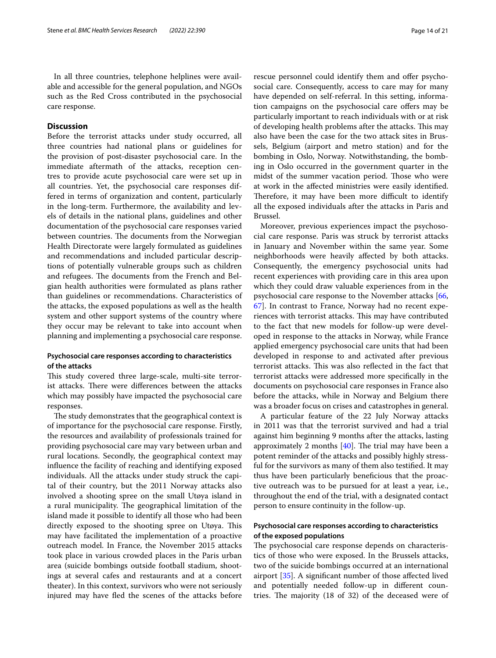In all three countries, telephone helplines were available and accessible for the general population, and NGOs such as the Red Cross contributed in the psychosocial care response.

## **Discussion**

Before the terrorist attacks under study occurred, all three countries had national plans or guidelines for the provision of post-disaster psychosocial care. In the immediate aftermath of the attacks, reception centres to provide acute psychosocial care were set up in all countries. Yet, the psychosocial care responses differed in terms of organization and content, particularly in the long-term. Furthermore, the availability and levels of details in the national plans, guidelines and other documentation of the psychosocial care responses varied between countries. The documents from the Norwegian Health Directorate were largely formulated as guidelines and recommendations and included particular descriptions of potentially vulnerable groups such as children and refugees. The documents from the French and Belgian health authorities were formulated as plans rather than guidelines or recommendations. Characteristics of the attacks, the exposed populations as well as the health system and other support systems of the country where they occur may be relevant to take into account when planning and implementing a psychosocial care response.

## **Psychosocial care responses according to characteristics of the attacks**

This study covered three large-scale, multi-site terrorist attacks. There were differences between the attacks which may possibly have impacted the psychosocial care responses.

The study demonstrates that the geographical context is of importance for the psychosocial care response. Firstly, the resources and availability of professionals trained for providing psychosocial care may vary between urban and rural locations. Secondly, the geographical context may infuence the facility of reaching and identifying exposed individuals. All the attacks under study struck the capital of their country, but the 2011 Norway attacks also involved a shooting spree on the small Utøya island in a rural municipality. The geographical limitation of the island made it possible to identify all those who had been directly exposed to the shooting spree on Utøya. This may have facilitated the implementation of a proactive outreach model. In France, the November 2015 attacks took place in various crowded places in the Paris urban area (suicide bombings outside football stadium, shootings at several cafes and restaurants and at a concert theater). In this context, survivors who were not seriously injured may have fed the scenes of the attacks before rescue personnel could identify them and offer psychosocial care. Consequently, access to care may for many have depended on self-referral. In this setting, information campaigns on the psychosocial care offers may be particularly important to reach individuals with or at risk of developing health problems after the attacks. This may also have been the case for the two attack sites in Brussels, Belgium (airport and metro station) and for the bombing in Oslo, Norway. Notwithstanding, the bombing in Oslo occurred in the government quarter in the midst of the summer vacation period. Those who were at work in the afected ministries were easily identifed. Therefore, it may have been more difficult to identify all the exposed individuals after the attacks in Paris and Brussel.

Moreover, previous experiences impact the psychosocial care response. Paris was struck by terrorist attacks in January and November within the same year. Some neighborhoods were heavily afected by both attacks. Consequently, the emergency psychosocial units had recent experiences with providing care in this area upon which they could draw valuable experiences from in the psychosocial care response to the November attacks [[66](#page-19-36), [67\]](#page-19-23). In contrast to France, Norway had no recent experiences with terrorist attacks. This may have contributed to the fact that new models for follow-up were developed in response to the attacks in Norway, while France applied emergency psychosocial care units that had been developed in response to and activated after previous terrorist attacks. This was also reflected in the fact that terrorist attacks were addressed more specifcally in the documents on psychosocial care responses in France also before the attacks, while in Norway and Belgium there was a broader focus on crises and catastrophes in general.

A particular feature of the 22 July Norway attacks in 2011 was that the terrorist survived and had a trial against him beginning 9 months after the attacks, lasting approximately 2 months  $[40]$  $[40]$ . The trial may have been a potent reminder of the attacks and possibly highly stressful for the survivors as many of them also testifed. It may thus have been particularly benefcious that the proactive outreach was to be pursued for at least a year, i.e., throughout the end of the trial, with a designated contact person to ensure continuity in the follow-up.

## **Psychosocial care responses according to characteristics of the exposed populations**

The psychosocial care response depends on characteristics of those who were exposed. In the Brussels attacks, two of the suicide bombings occurred at an international airport [\[35](#page-18-24)]. A signifcant number of those afected lived and potentially needed follow-up in diferent countries. The majority  $(18 \text{ of } 32)$  of the deceased were of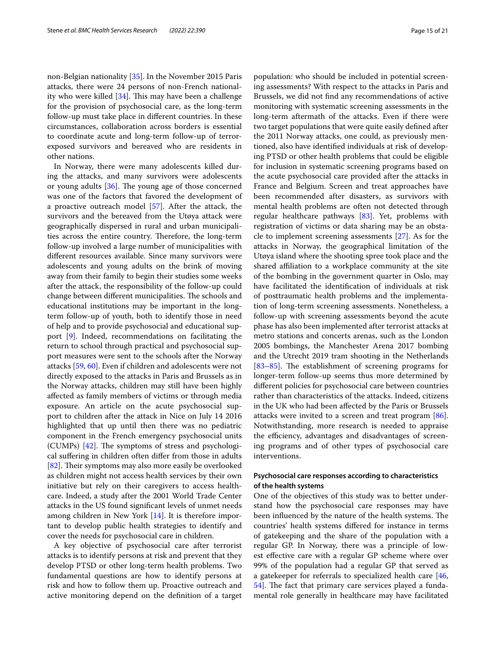non-Belgian nationality [\[35](#page-18-24)]. In the November 2015 Paris attacks, there were 24 persons of non-French nationality who were killed  $[34]$  $[34]$ . This may have been a challenge for the provision of psychosocial care, as the long-term follow-up must take place in diferent countries. In these circumstances, collaboration across borders is essential to coordinate acute and long-term follow-up of terrorexposed survivors and bereaved who are residents in other nations.

In Norway, there were many adolescents killed during the attacks, and many survivors were adolescents or young adults  $[36]$  $[36]$ . The young age of those concerned was one of the factors that favored the development of a proactive outreach model [\[57](#page-19-18)]. After the attack, the survivors and the bereaved from the Utøya attack were geographically dispersed in rural and urban municipalities across the entire country. Therefore, the long-term follow-up involved a large number of municipalities with diferent resources available. Since many survivors were adolescents and young adults on the brink of moving away from their family to begin their studies some weeks after the attack, the responsibility of the follow-up could change between different municipalities. The schools and educational institutions may be important in the longterm follow-up of youth, both to identify those in need of help and to provide psychosocial and educational support [[9\]](#page-18-27). Indeed, recommendations on facilitating the return to school through practical and psychosocial support measures were sent to the schools after the Norway attacks [[59,](#page-19-20) [60\]](#page-19-37). Even if children and adolescents were not directly exposed to the attacks in Paris and Brussels as in the Norway attacks, children may still have been highly afected as family members of victims or through media exposure. An article on the acute psychosocial support to children after the attack in Nice on July 14 2016 highlighted that up until then there was no pediatric component in the French emergency psychosocial units (CUMPs)  $[42]$  $[42]$ . The symptoms of stress and psychological sufering in children often difer from those in adults [[82\]](#page-20-4). Their symptoms may also more easily be overlooked as children might not access health services by their own initiative but rely on their caregivers to access healthcare. Indeed, a study after the 2001 World Trade Center attacks in the US found signifcant levels of unmet needs among children in New York [[14\]](#page-18-28). It is therefore important to develop public health strategies to identify and cover the needs for psychosocial care in children.

A key objective of psychosocial care after terrorist attacks is to identify persons at risk and prevent that they develop PTSD or other long-term health problems. Two fundamental questions are how to identify persons at risk and how to follow them up. Proactive outreach and active monitoring depend on the defnition of a target population: who should be included in potential screening assessments? With respect to the attacks in Paris and Brussels, we did not fnd any recommendations of active monitoring with systematic screening assessments in the long-term aftermath of the attacks. Even if there were two target populations that were quite easily defned after the 2011 Norway attacks, one could, as previously mentioned, also have identifed individuals at risk of developing PTSD or other health problems that could be eligible for inclusion in systematic screening programs based on the acute psychosocial care provided after the attacks in France and Belgium. Screen and treat approaches have been recommended after disasters, as survivors with mental health problems are often not detected through regular healthcare pathways [\[83](#page-20-5)]. Yet, problems with registration of victims or data sharing may be an obstacle to implement screening assessments [[27](#page-18-12)]. As for the attacks in Norway, the geographical limitation of the Utøya island where the shooting spree took place and the shared affiliation to a workplace community at the site of the bombing in the government quarter in Oslo, may have facilitated the identifcation of individuals at risk of posttraumatic health problems and the implementation of long-term screening assessments. Nonetheless, a follow-up with screening assessments beyond the acute phase has also been implemented after terrorist attacks at metro stations and concerts arenas, such as the London 2005 bombings, the Manchester Arena 2017 bombing and the Utrecht 2019 tram shooting in the Netherlands [[83–](#page-20-5)[85\]](#page-20-6). The establishment of screening programs for longer-term follow-up seems thus more determined by diferent policies for psychosocial care between countries rather than characteristics of the attacks. Indeed, citizens in the UK who had been afected by the Paris or Brussels attacks were invited to a screen and treat program [\[86](#page-20-7)]. Notwithstanding, more research is needed to appraise the efficiency, advantages and disadvantages of screening programs and of other types of psychosocial care interventions.

## **Psychosocial care responses according to characteristics of the health systems**

One of the objectives of this study was to better understand how the psychosocial care responses may have been influenced by the nature of the health systems. The countries' health systems difered for instance in terms of gatekeeping and the share of the population with a regular GP. In Norway, there was a principle of lowest efective care with a regular GP scheme where over 99% of the population had a regular GP that served as a gatekeeper for referrals to specialized health care [[46](#page-19-7), 54. The fact that primary care services played a fundamental role generally in healthcare may have facilitated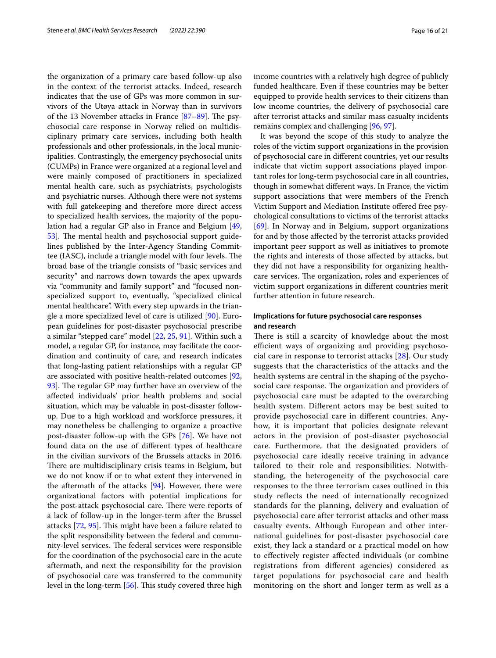the organization of a primary care based follow-up also in the context of the terrorist attacks. Indeed, research indicates that the use of GPs was more common in survivors of the Utøya attack in Norway than in survivors of the 13 November attacks in France  $[87-89]$  $[87-89]$ . The psychosocial care response in Norway relied on multidisciplinary primary care services, including both health professionals and other professionals, in the local municipalities. Contrastingly, the emergency psychosocial units (CUMPs) in France were organized at a regional level and were mainly composed of practitioners in specialized mental health care, such as psychiatrists, psychologists and psychiatric nurses. Although there were not systems with full gatekeeping and therefore more direct access to specialized health services, the majority of the population had a regular GP also in France and Belgium [\[49](#page-19-10), [53\]](#page-19-14). The mental health and psychosocial support guidelines published by the Inter-Agency Standing Committee (IASC), include a triangle model with four levels. The broad base of the triangle consists of "basic services and security" and narrows down towards the apex upwards via "community and family support" and "focused nonspecialized support to, eventually, "specialized clinical mental healthcare". With every step upwards in the triangle a more specialized level of care is utilized [\[90](#page-20-10)]. European guidelines for post-disaster psychosocial prescribe a similar "stepped care" model [[22](#page-18-15), [25,](#page-18-10) [91](#page-20-11)]. Within such a model, a regular GP, for instance, may facilitate the coordination and continuity of care, and research indicates that long-lasting patient relationships with a regular GP are associated with positive health-related outcomes [\[92](#page-20-12), 93. The regular GP may further have an overview of the afected individuals' prior health problems and social situation, which may be valuable in post-disaster followup. Due to a high workload and workforce pressures, it may nonetheless be challenging to organize a proactive post-disaster follow-up with the GPs [\[76\]](#page-19-32). We have not found data on the use of diferent types of healthcare in the civilian survivors of the Brussels attacks in 2016. There are multidisciplinary crisis teams in Belgium, but we do not know if or to what extent they intervened in the aftermath of the attacks [[94](#page-20-14)]. However, there were organizational factors with potential implications for the post-attack psychosocial care. There were reports of a lack of follow-up in the longer-term after the Brussel attacks [\[72](#page-19-28), [95\]](#page-20-15). This might have been a failure related to the split responsibility between the federal and community-level services. The federal services were responsible for the coordination of the psychosocial care in the acute aftermath, and next the responsibility for the provision of psychosocial care was transferred to the community level in the long-term [\[56](#page-19-17)]. This study covered three high

income countries with a relatively high degree of publicly funded healthcare. Even if these countries may be better equipped to provide health services to their citizens than low income countries, the delivery of psychosocial care after terrorist attacks and similar mass casualty incidents remains complex and challenging [[96](#page-20-16), [97\]](#page-20-17).

It was beyond the scope of this study to analyze the roles of the victim support organizations in the provision of psychosocial care in diferent countries, yet our results indicate that victim support associations played important roles for long-term psychosocial care in all countries, though in somewhat diferent ways. In France, the victim support associations that were members of the French Victim Support and Mediation Institute offered free psychological consultations to victims of the terrorist attacks [[69\]](#page-19-25). In Norway and in Belgium, support organizations for and by those afected by the terrorist attacks provided important peer support as well as initiatives to promote the rights and interests of those afected by attacks, but they did not have a responsibility for organizing healthcare services. The organization, roles and experiences of victim support organizations in diferent countries merit further attention in future research.

## **Implications for future psychosocial care responses and research**

There is still a scarcity of knowledge about the most efficient ways of organizing and providing psychosocial care in response to terrorist attacks [[28\]](#page-18-13). Our study suggests that the characteristics of the attacks and the health systems are central in the shaping of the psychosocial care response. The organization and providers of psychosocial care must be adapted to the overarching health system. Diferent actors may be best suited to provide psychosocial care in diferent countries. Anyhow, it is important that policies designate relevant actors in the provision of post-disaster psychosocial care. Furthermore, that the designated providers of psychosocial care ideally receive training in advance tailored to their role and responsibilities. Notwithstanding, the heterogeneity of the psychosocial care responses to the three terrorism cases outlined in this study refects the need of internationally recognized standards for the planning, delivery and evaluation of psychosocial care after terrorist attacks and other mass casualty events. Although European and other international guidelines for post-disaster psychosocial care exist, they lack a standard or a practical model on how to efectively register afected individuals (or combine registrations from diferent agencies) considered as target populations for psychosocial care and health monitoring on the short and longer term as well as a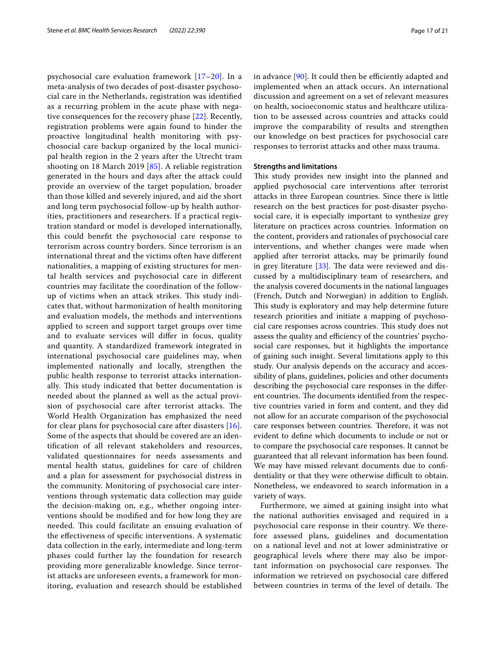psychosocial care evaluation framework [[17](#page-18-8)[–20](#page-18-29)]. In a meta-analysis of two decades of post-disaster psychosocial care in the Netherlands, registration was identifed as a recurring problem in the acute phase with negative consequences for the recovery phase [\[22\]](#page-18-15). Recently, registration problems were again found to hinder the proactive longitudinal health monitoring with psychosocial care backup organized by the local municipal health region in the 2 years after the Utrecht tram shooting on 18 March 2019 [[85\]](#page-20-6). A reliable registration generated in the hours and days after the attack could provide an overview of the target population, broader than those killed and severely injured, and aid the short and long term psychosocial follow-up by health authorities, practitioners and researchers. If a practical registration standard or model is developed internationally, this could beneft the psychosocial care response to terrorism across country borders. Since terrorism is an international threat and the victims often have diferent nationalities, a mapping of existing structures for mental health services and psychosocial care in diferent countries may facilitate the coordination of the followup of victims when an attack strikes. This study indicates that, without harmonization of health monitoring and evaluation models, the methods and interventions applied to screen and support target groups over time and to evaluate services will difer in focus, quality and quantity. A standardized framework integrated in international psychosocial care guidelines may, when implemented nationally and locally, strengthen the public health response to terrorist attacks internationally. This study indicated that better documentation is needed about the planned as well as the actual provision of psychosocial care after terrorist attacks. The World Health Organization has emphasized the need for clear plans for psychosocial care after disasters [[16](#page-18-7)]. Some of the aspects that should be covered are an identifcation of all relevant stakeholders and resources, validated questionnaires for needs assessments and mental health status, guidelines for care of children and a plan for assessment for psychosocial distress in the community. Monitoring of psychosocial care interventions through systematic data collection may guide the decision-making on, e.g., whether ongoing interventions should be modifed and for how long they are needed. This could facilitate an ensuing evaluation of the efectiveness of specifc interventions. A systematic data collection in the early, intermediate and long-term phases could further lay the foundation for research providing more generalizable knowledge. Since terrorist attacks are unforeseen events, a framework for monitoring, evaluation and research should be established in advance  $[90]$  $[90]$ . It could then be efficiently adapted and implemented when an attack occurs. An international discussion and agreement on a set of relevant measures on health, socioeconomic status and healthcare utilization to be assessed across countries and attacks could improve the comparability of results and strengthen our knowledge on best practices for psychosocial care responses to terrorist attacks and other mass trauma.

## **Strengths and limitations**

This study provides new insight into the planned and applied psychosocial care interventions after terrorist attacks in three European countries. Since there is little research on the best practices for post-disaster psychosocial care, it is especially important to synthesize grey literature on practices across countries. Information on the content, providers and rationales of psychosocial care interventions, and whether changes were made when applied after terrorist attacks, may be primarily found in grey literature  $[33]$  $[33]$ . The data were reviewed and discussed by a multidisciplinary team of researchers, and the analysis covered documents in the national languages (French, Dutch and Norwegian) in addition to English. This study is exploratory and may help determine future research priorities and initiate a mapping of psychosocial care responses across countries. This study does not assess the quality and efficiency of the countries' psychosocial care responses, but it highlights the importance of gaining such insight. Several limitations apply to this study. Our analysis depends on the accuracy and accessibility of plans, guidelines, policies and other documents describing the psychosocial care responses in the diferent countries. The documents identified from the respective countries varied in form and content, and they did not allow for an accurate comparison of the psychosocial care responses between countries. Therefore, it was not evident to defne which documents to include or not or to compare the psychosocial care responses. It cannot be guaranteed that all relevant information has been found. We may have missed relevant documents due to confdentiality or that they were otherwise difficult to obtain. Nonetheless, we endeavored to search information in a variety of ways.

Furthermore, we aimed at gaining insight into what the national authorities envisaged and required in a psychosocial care response in their country. We therefore assessed plans, guidelines and documentation on a national level and not at lower administrative or geographical levels where there may also be important information on psychosocial care responses. The information we retrieved on psychosocial care difered between countries in terms of the level of details. The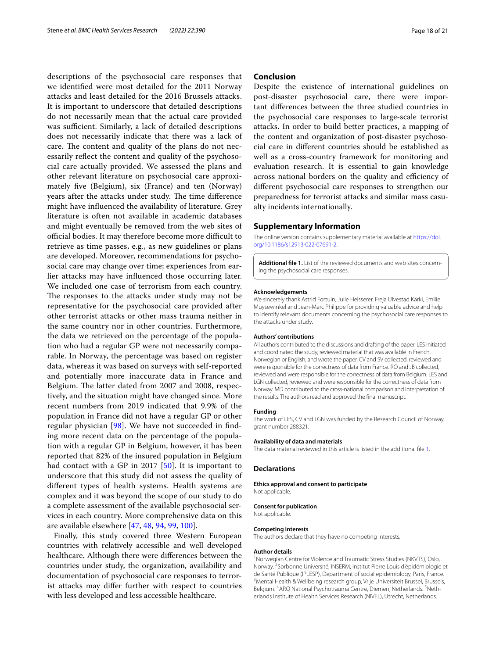descriptions of the psychosocial care responses that we identifed were most detailed for the 2011 Norway attacks and least detailed for the 2016 Brussels attacks. It is important to underscore that detailed descriptions do not necessarily mean that the actual care provided was sufficient. Similarly, a lack of detailed descriptions does not necessarily indicate that there was a lack of care. The content and quality of the plans do not necessarily reflect the content and quality of the psychosocial care actually provided. We assessed the plans and other relevant literature on psychosocial care approximately fve (Belgium), six (France) and ten (Norway) years after the attacks under study. The time difference might have infuenced the availability of literature. Grey literature is often not available in academic databases and might eventually be removed from the web sites of official bodies. It may therefore become more difficult to retrieve as time passes, e.g., as new guidelines or plans are developed. Moreover, recommendations for psychosocial care may change over time; experiences from earlier attacks may have infuenced those occurring later. We included one case of terrorism from each country. The responses to the attacks under study may not be representative for the psychosocial care provided after other terrorist attacks or other mass trauma neither in the same country nor in other countries. Furthermore, the data we retrieved on the percentage of the population who had a regular GP were not necessarily comparable. In Norway, the percentage was based on register data, whereas it was based on surveys with self-reported and potentially more inaccurate data in France and Belgium. The latter dated from 2007 and 2008, respectively, and the situation might have changed since. More recent numbers from 2019 indicated that 9.9% of the population in France did not have a regular GP or other regular physician [[98](#page-20-18)]. We have not succeeded in fnding more recent data on the percentage of the population with a regular GP in Belgium, however, it has been reported that 82% of the insured population in Belgium had contact with a GP in 2017 [\[50](#page-19-11)]. It is important to underscore that this study did not assess the quality of diferent types of health systems. Health systems are complex and it was beyond the scope of our study to do a complete assessment of the available psychosocial services in each country. More comprehensive data on this are available elsewhere [\[47,](#page-19-8) [48](#page-19-9), [94](#page-20-14), [99,](#page-20-19) [100\]](#page-20-20).

Finally, this study covered three Western European countries with relatively accessible and well developed healthcare. Although there were diferences between the countries under study, the organization, availability and documentation of psychosocial care responses to terrorist attacks may difer further with respect to countries with less developed and less accessible healthcare.

## **Conclusion**

Despite the existence of international guidelines on post-disaster psychosocial care, there were important diferences between the three studied countries in the psychosocial care responses to large-scale terrorist attacks. In order to build better practices, a mapping of the content and organization of post-disaster psychosocial care in diferent countries should be established as well as a cross-country framework for monitoring and evaluation research. It is essential to gain knowledge across national borders on the quality and efficiency of diferent psychosocial care responses to strengthen our preparedness for terrorist attacks and similar mass casualty incidents internationally.

#### **Supplementary Information**

The online version contains supplementary material available at [https://doi.](https://doi.org/10.1186/s12913-022-07691-2) [org/10.1186/s12913-022-07691-2](https://doi.org/10.1186/s12913-022-07691-2).

<span id="page-17-0"></span>**Additional fle 1.** List of the reviewed documents and web sites concerning the psychosocial care responses.

#### **Acknowledgements**

We sincerely thank Astrid Fortuin, Julie Heisserer, Freja Ulvestad Kärki, Emilie Muysewinkel and Jean-Marc Philippe for providing valuable advice and help to identify relevant documents concerning the psychosocial care responses to the attacks under study.

#### **Authors' contributions**

All authors contributed to the discussions and drafting of the paper. LES initiated and coordinated the study, reviewed material that was available in French, Norwegian or English, and wrote the paper. CV and SV collected, reviewed and were responsible for the correctness of data from France. RO and JB collected, reviewed and were responsible for the correctness of data from Belgium. LES and LGN collected, reviewed and were responsible for the correctness of data from Norway. MD contributed to the cross-national comparison and interpretation of the results. The authors read and approved the fnal manuscript.

#### **Funding**

The work of LES, CV and LGN was funded by the Research Council of Norway, grant number 288321.

#### **Availability of data and materials**

The data material reviewed in this article is listed in the additional fle [1](#page-17-0).

#### **Declarations**

#### **Ethics approval and consent to participate** Not applicable.

## **Consent for publication**

Not applicable.

#### **Competing interests**

The authors declare that they have no competing interests.

#### **Author details**

<sup>1</sup> Norwegian Centre for Violence and Traumatic Stress Studies (NKVTS), Oslo, Norway. 2 Sorbonne Université, INSERM, Institut Pierre Louis d'épidémiologie et de Santé Publique (IPLESP), Department of social epidemiology, Paris, France. <sup>3</sup> Mental Health & Wellbeing research group, Vrije Universiteit Brussel, Brussels, Belgium. <sup>4</sup> ARQ National Psychotrauma Centre, Diemen, Netherlands. <sup>5</sup> Netherlands Institute of Health Services Research (NIVEL), Utrecht, Netherlands.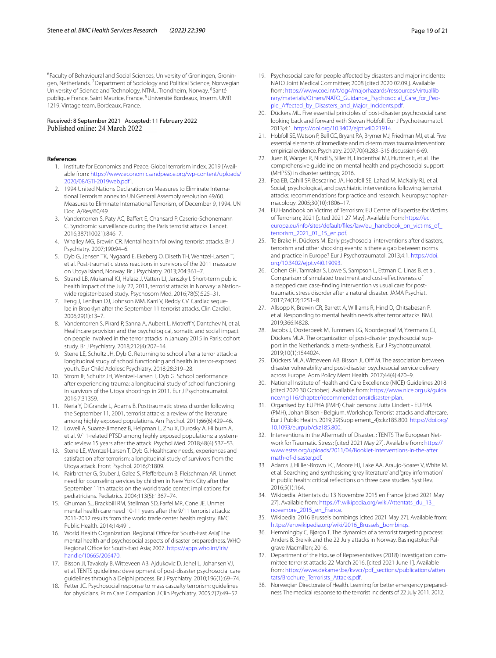<sup>6</sup>Faculty of Behavioural and Social Sciences, University of Groningen, Groningen, Netherlands. <sup>7</sup> Department of Sociology and Political Science, Norwegian University of Science and Technology, NTNU, Trondheim, Norway. <sup>8</sup>Santé publique France, Saint Maurice, France. <sup>9</sup>Université Bordeaux, Inserm, UMR 1219, Vintage team, Bordeaux, France.

# Received: 8 September 2021 Accepted: 11 February 2022

#### <span id="page-18-0"></span>**References**

- 1. Institute for Economics and Peace. Global terrorism index. 2019 [Available from: [https://www.economicsandpeace.org/wp-content/uploads/](https://www.economicsandpeace.org/wp-content/uploads/2020/08/GTI-2019web.pdf) [2020/08/GTI-2019web.pdf](https://www.economicsandpeace.org/wp-content/uploads/2020/08/GTI-2019web.pdf)].
- <span id="page-18-1"></span>2. 1994 United Nations Declaration on Measures to Eliminate International Terrorism annex to UN General Assembly resolution 49/60. Measures to Eliminate International Terrorism, of December 9, 1994. UN Doc. A/Res/60/49.
- <span id="page-18-2"></span>3. Vandentorren S, Paty AC, Bafert E, Chansard P, Caserio-Schonemann C. Syndromic surveillance during the Paris terrorist attacks. Lancet. 2016;387(10021):846–7.
- <span id="page-18-3"></span>4. Whalley MG, Brewin CR. Mental health following terrorist attacks. Br J Psychiatry. 2007;190:94–6.
- 5. Dyb G, Jensen TK, Nygaard E, Ekeberg O, Diseth TH, Wentzel-Larsen T, et al. Post-traumatic stress reactions in survivors of the 2011 massacre on Utoya Island, Norway. Br J Psychiatry. 2013;204:361–7.
- 6. Strand LB, Mukamal KJ, Halasz J, Vatten LJ, Janszky I. Short-term public health impact of the July 22, 2011, terrorist attacks in Norway: a Nationwide register-based study. Psychosom Med. 2016;78(5):525–31.
- 7. Feng J, Lenihan DJ, Johnson MM, Karri V, Reddy CV. Cardiac sequelae in Brooklyn after the September 11 terrorist attacks. Clin Cardiol. 2006;29(1):13–7.
- <span id="page-18-23"></span>8. Vandentorren S, Pirard P, Sanna A, Aubert L, Motreff Y, Dantchev N, et al. Healthcare provision and the psychological, somatic and social impact on people involved in the terror attacks in January 2015 in Paris: cohort study. Br J Psychiatry. 2018;212(4):207–14.
- <span id="page-18-27"></span>9. Stene LE, Schultz JH, Dyb G. Returning to school after a terror attack: a longitudinal study of school functioning and health in terror-exposed youth. Eur Child Adolesc Psychiatry. 2018;28:319–28.
- 10. Strom IF, Schultz JH, Wentzel-Larsen T, Dyb G. School performance after experiencing trauma: a longitudinal study of school functioning in survivors of the Utoya shootings in 2011. Eur J Psychotraumatol. 2016;7:31359.
- 11. Neria Y, DiGrande L, Adams B. Posttraumatic stress disorder following the September 11, 2001, terrorist attacks: a review of the literature among highly exposed populations. Am Psychol. 2011;66(6):429–46.
- <span id="page-18-4"></span>12. Lowell A, Suarez-Jimenez B, Helpman L, Zhu X, Durosky A, Hilburn A, et al. 9/11-related PTSD among highly exposed populations: a systematic review 15 years after the attack. Psychol Med. 2018;48(4):537–53.
- <span id="page-18-5"></span>13. Stene LE, Wentzel-Larsen T, Dyb G. Healthcare needs, experiences and satisfaction after terrorism: a longitudinal study of survivors from the Utoya attack. Front Psychol. 2016;7:1809.
- <span id="page-18-28"></span>Fairbrother G, Stuber J, Galea S, Pfefferbaum B, Fleischman AR. Unmet need for counseling services by children in New York City after the September 11th attacks on the world trade center: implications for pediatricians. Pediatrics. 2004;113(5):1367–74.
- <span id="page-18-6"></span>15. Ghuman SJ, Brackbill RM, Stellman SD, Farfel MR, Cone JE. Unmet mental health care need 10-11 years after the 9/11 terrorist attacks: 2011-2012 results from the world trade center health registry. BMC Public Health. 2014;14:491.
- <span id="page-18-7"></span>16. World Health Organization. Regional Office for South-East Asia<sup>r</sup> The mental health and psychosocial aspects of disaster preparedness. WHO Regional Office for South-East Asia; 2007. [https://apps.who.int/iris/](https://apps.who.int/iris/handle/10665/206470) [handle/10665/206470](https://apps.who.int/iris/handle/10665/206470).
- <span id="page-18-8"></span>17. Bisson JI, Tavakoly B, Witteveen AB, Ajdukovic D, Jehel L, Johansen VJ, et al. TENTS guidelines: development of post-disaster psychosocial care guidelines through a Delphi process. Br J Psychiatry. 2010;196(1):69–74.
- 18. Fetter JC. Psychosocial response to mass casualty terrorism: guidelines for physicians. Prim Care Companion J Clin Psychiatry. 2005;7(2):49–52.
- 19. Psychosocial care for people affected by disasters and major incidents: NATO Joint Medical Committee; 2008 [cited 2020 02.09.]. Available from: [https://www.coe.int/t/dg4/majorhazards/ressources/virtuallib](https://www.coe.int/t/dg4/majorhazards/ressources/virtuallibrary/materials/Others/NATO_Guidance_Psychosocial_Care_for_People_Affected_by_Disasters_and_Major_Incidents.pdf) [rary/materials/Others/NATO\\_Guidance\\_Psychosocial\\_Care\\_for\\_Peo](https://www.coe.int/t/dg4/majorhazards/ressources/virtuallibrary/materials/Others/NATO_Guidance_Psychosocial_Care_for_People_Affected_by_Disasters_and_Major_Incidents.pdf)ple\_Affected\_by\_Disasters\_and\_Major\_Incidents.pdf.
- <span id="page-18-29"></span>20. Dückers ML. Five essential principles of post-disaster psychosocial care: looking back and forward with Stevan Hobfoll. Eur J Psychotraumatol. 2013;4:1. <https://doi.org/10.3402/ejpt.v4i0.21914>.
- <span id="page-18-25"></span>21. Hobfoll SE, Watson P, Bell CC, Bryant RA, Brymer MJ, Friedman MJ, et al. Five essential elements of immediate and mid-term mass trauma intervention: empirical evidence. Psychiatry. 2007;70(4):283–315 discussion 6-69.
- <span id="page-18-15"></span>22. Juen B, Warger R, Nindl S, Siller H, Lindenthal MJ, Huttner E, et al. The comprehensive guideline on mental health and psychosocial support (MHPSS) in disaster settings; 2016.
- 23. Foa EB, Cahill SP, Boscarino JA, Hobfoll SE, Lahad M, McNally RJ, et al. Social, psychological, and psychiatric interventions following terrorist attacks: recommendations for practice and research. Neuropsychopharmacology. 2005;30(10):1806–17.
- <span id="page-18-9"></span>24. EU Handbook on Victims of Terrorism: EU Centre of Expertise for Victims of Terrorism; 2021 [cited 2021 27 May]. Available from: [https://ec.](https://ec.europa.eu/info/sites/default/files/law/eu_handbook_on_victims_of_terrorism_2021_01_15_en.pdf) [europa.eu/info/sites/default/fles/law/eu\\_handbook\\_on\\_victims\\_of\\_](https://ec.europa.eu/info/sites/default/files/law/eu_handbook_on_victims_of_terrorism_2021_01_15_en.pdf) [terrorism\\_2021\\_01\\_15\\_en.pdf](https://ec.europa.eu/info/sites/default/files/law/eu_handbook_on_victims_of_terrorism_2021_01_15_en.pdf).
- <span id="page-18-10"></span>25. Te Brake H, Dückers M. Early psychosocial interventions after disasters, terrorism and other shocking events: is there a gap between norms and practice in Europe? Eur J Psychotraumatol. 2013;4:1. [https://doi.](https://doi.org/10.3402/ejpt.v4i0.19093) [org/10.3402/ejpt.v4i0.19093](https://doi.org/10.3402/ejpt.v4i0.19093).
- <span id="page-18-11"></span>26. Cohen GH, Tamrakar S, Lowe S, Sampson L, Ettman C, Linas B, et al. Comparison of simulated treatment and cost-efectiveness of a stepped care case-fnding intervention vs usual care for posttraumatic stress disorder after a natural disaster. JAMA Psychiat. 2017;74(12):1251–8.
- <span id="page-18-12"></span>27. Allsopp K, Brewin CR, Barrett A, Williams R, Hind D, Chitsabesan P, et al. Responding to mental health needs after terror attacks. BMJ. 2019;366:l4828.
- <span id="page-18-13"></span>28. Jacobs J, Oosterbeek M, Tummers LG, Noordegraaf M, Yzermans CJ, Dückers MLA. The organization of post-disaster psychosocial support in the Netherlands: a meta-synthesis. Eur J Psychotraumatol. 2019;10(1):1544024.
- <span id="page-18-14"></span>29. Dückers MLA, Witteveen AB, Bisson JI, Olf M. The association between disaster vulnerability and post-disaster psychosocial service delivery across Europe. Adm Policy Ment Health. 2017;44(4):470–9.
- <span id="page-18-16"></span>30. National Institute of Health and Care Excellence (NICE) Guidelines 2018 [cited 2020 30 October]. Available from: [https://www.nice.org.uk/guida](https://www.nice.org.uk/guidance/ng116/chapter/recommendations#disaster-plan) [nce/ng116/chapter/recommendations#disaster-plan](https://www.nice.org.uk/guidance/ng116/chapter/recommendations#disaster-plan).
- <span id="page-18-17"></span>31. Organised by: EUPHA (PMH) Chair persons: Jutta Lindert - EUPHA (PMH), Johan Bilsen - Belgium. Workshop: Terrorist attacks and aftercare. Eur J Public Health. 2019;29(Supplement\_4):ckz185.800. [https://doi.org/](https://doi.org/10.1093/eurpub/ckz185.800) [10.1093/eurpub/ckz185.800.](https://doi.org/10.1093/eurpub/ckz185.800)
- <span id="page-18-18"></span>32. Interventions in the Aftermath of Disaster. : TENTS The European Network for Traumatic Stress; [cited 2021 May 27]. Available from: [https://](https://www.estss.org/uploads/2011/04/Booklet-Interventions-in-the-aftermath-of-disaster.pdf) [www.estss.org/uploads/2011/04/Booklet-Interventions-in-the-after](https://www.estss.org/uploads/2011/04/Booklet-Interventions-in-the-aftermath-of-disaster.pdf) [math-of-disaster.pdf.](https://www.estss.org/uploads/2011/04/Booklet-Interventions-in-the-aftermath-of-disaster.pdf)
- <span id="page-18-19"></span>33. Adams J, Hillier-Brown FC, Moore HJ, Lake AA, Araujo-Soares V, White M, et al. Searching and synthesising 'grey literature' and 'grey information' in public health: critical refections on three case studies. Syst Rev. 2016;5(1):164.
- <span id="page-18-20"></span>34. Wikipedia. Attentats du 13 Novembre 2015 en France [cited 2021 May 27]. Available from: https://fr.wikipedia.org/wiki/Attentats\_du\_13 [novembre\\_2015\\_en\\_France.](https://fr.wikipedia.org/wiki/Attentats_du_13_novembre_2015_en_France)
- <span id="page-18-24"></span>35. Wikipedia. 2016 Brussels bombings [cited 2021 May 27]. Available from: [https://en.wikipedia.org/wiki/2016\\_Brussels\\_bombings](https://en.wikipedia.org/wiki/2016_Brussels_bombings).
- <span id="page-18-21"></span>36. Hemmingby C, Bjørgo T. The dynamics of a terrorist targeting process: Anders B. Breivik and the 22 July attacks in Norway. Basingstoke: Palgrave Macmillan; 2016.
- <span id="page-18-22"></span>37. Department of the House of Representatives (2018) Investigation committee terrorist attacks 22 March 2016. [cited 2021 June 1]. Available from: [https://www.dekamer.be/kvvcr/pdf\\_sections/publications/atten](https://www.dekamer.be/kvvcr/pdf_sections/publications/attentats/Brochure_Terrorists_Attacks.pdf) [tats/Brochure\\_Terrorists\\_Attacks.pdf](https://www.dekamer.be/kvvcr/pdf_sections/publications/attentats/Brochure_Terrorists_Attacks.pdf).
- <span id="page-18-26"></span>38. Norwegian Directorate of Health. Learning for better emergency preparedness. The medical response to the terrorist incidents of 22 July 2011. 2012.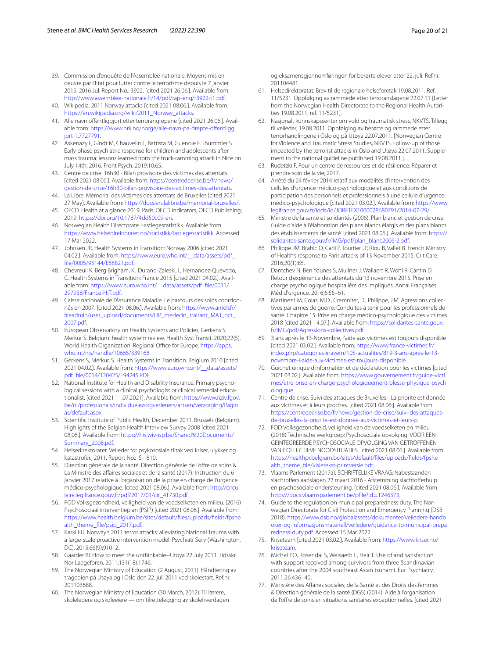- <span id="page-19-0"></span>39. Commission d'enquête de l'Assemblée nationale. Moyens mis en oeuvre par l'Etat pour lutter contre le terrorisme depuis le 7 janvier 2015. 2016 Jul. Report No.: 3922. [cited 2021 26.06.]. Available from: [http://www.assemblee-nationale.fr/14/pdf/rap-enq/r3922-t1.pdf.](http://www.assemblee-nationale.fr/14/pdf/rap-enq/r3922-t1.pdf)
- <span id="page-19-1"></span>40. Wikipedia. 2011 Norway attacks [cited 2021 08.06.]. Available from: [https://en.wikipedia.org/wiki/2011\\_Norway\\_attacks.](https://en.wikipedia.org/wiki/2011_Norway_attacks)
- <span id="page-19-2"></span>41. Alle navn ofentliggjort etter terrorangrepene [cited 2021 26.06.]. Available from: [https://www.nrk.no/norge/alle-navn-pa-drepte-ofentligg](https://www.nrk.no/norge/alle-navn-pa-drepte-offentliggjort-1.7727791) [jort-1.7727791](https://www.nrk.no/norge/alle-navn-pa-drepte-offentliggjort-1.7727791).
- <span id="page-19-3"></span>42. Askenazy F, Gindt M, Chauvelin L, Battista M, Guenole F, Thummler S. Early phase psychiatric response for children and adolescents after mass trauma: lessons learned from the truck-ramming attack in Nice on July 14th, 2016. Front Psych. 2019;10:65.
- <span id="page-19-4"></span>43. Centre de crise. 16h30 - Bilan provisoire des victimes des attentats [cited 2021 08.06.]. Available from: [https://centredecrise.be/fr/news/](https://centredecrise.be/fr/news/gestion-de-crise/16h30-bilan-provisoire-des-victimes-des-attentats) [gestion-de-crise/16h30-bilan-provisoire-des-victimes-des-attentats](https://centredecrise.be/fr/news/gestion-de-crise/16h30-bilan-provisoire-des-victimes-des-attentats).
- <span id="page-19-5"></span>44. La Libre. Mémorial des victimes des attentats de Bruxelles [cited 2021 27 May]. Available from: [https://dossiers.lalibre.be/memorial-bruxelles/.](https://dossiers.lalibre.be/memorial-bruxelles/)
- <span id="page-19-6"></span>45. OECD. Health at a glance 2019. Paris: OECD Indicators, OECD Publishing; 2019. <https://doi.org/10.1787/4dd50c09-en>.
- <span id="page-19-7"></span>46. Norwegian Health Directorate. Fastlegestatistikk. Available from <https://www.helsedirektoratet.no/statistikk/fastlegestatistikk>. Accessed 17 Mar 2022.
- <span id="page-19-8"></span>47. Johnsen JR. Health Systems in Transition: Norway 2006 [cited 2021 04.02.]. Available from: [https://www.euro.who.int/\\_\\_data/assets/pdf\\_](https://www.euro.who.int/__data/assets/pdf_file/0005/95144/E88821.pdf) [fle/0005/95144/E88821.pdf](https://www.euro.who.int/__data/assets/pdf_file/0005/95144/E88821.pdf).
- <span id="page-19-9"></span>48. Chevreuil K, Berg Brigham, K., Durand-Zaleski, I., Hernandez-Quevedo, C. Health Systems in Transition: France 2015 [cited 2021 04.02.]. Available from: [https://www.euro.who.int/\\_\\_data/assets/pdf\\_fle/0011/](https://www.euro.who.int/__data/assets/pdf_file/0011/297938/France-HiT.pdf) [297938/France-HiT.pdf.](https://www.euro.who.int/__data/assets/pdf_file/0011/297938/France-HiT.pdf)
- <span id="page-19-10"></span>49. Caisse nationale de l'Assurance Maladie. Le parcours des soins coordonnés en 2007. [cited 2021 08.06.]. Available from: [https://www.ameli.fr/](https://www.ameli.fr/fileadmin/user_upload/documents/DP_medecin_traitant_MAJ_oct_2007.pdf) [fleadmin/user\\_upload/documents/DP\\_medecin\\_traitant\\_MAJ\\_oct\\_](https://www.ameli.fr/fileadmin/user_upload/documents/DP_medecin_traitant_MAJ_oct_2007.pdf) [2007.pdf](https://www.ameli.fr/fileadmin/user_upload/documents/DP_medecin_traitant_MAJ_oct_2007.pdf).
- <span id="page-19-11"></span>50. European Observatory on Health Systems and Policies, Gerkens S, Merkur S. Belgium: health system review. Health Syst Transit. 2020;22(5). World Health Organization. Regional Office for Europe. [https://apps.](https://apps.who.int/iris/handle/10665/339168) [who.int/iris/handle/10665/339168](https://apps.who.int/iris/handle/10665/339168).
- <span id="page-19-12"></span>51. Gerkens S, Merkur, S. Health Systems in Transition: Belgium 2010 [cited 2021 04.02.]. Available from: [https://www.euro.who.int/\\_\\_data/assets/](https://www.euro.who.int/__data/assets/pdf_file/0014/120425/E94245.PDF) [pdf\\_fle/0014/120425/E94245.PDF](https://www.euro.who.int/__data/assets/pdf_file/0014/120425/E94245.PDF).
- <span id="page-19-13"></span>52. National Institute for Health and Disability Insurance. Primary psychological sessions with a clinical psychologist or clinical remedial educationalist. [cited 2021 11.07.2021]. Available from: [https://www.riziv.fgov.](https://www.riziv.fgov.be/nl/professionals/individuelezorgverleners/artsen/verzorging/Paginas/default.aspx) [be/nl/professionals/individuelezorgverleners/artsen/verzorging/Pagin](https://www.riziv.fgov.be/nl/professionals/individuelezorgverleners/artsen/verzorging/Paginas/default.aspx) [as/default.aspx.](https://www.riziv.fgov.be/nl/professionals/individuelezorgverleners/artsen/verzorging/Paginas/default.aspx)
- <span id="page-19-14"></span>53. Scientifc Institute of Public Health, December 2011, Brussels (Belgium). Highlights of the Belgian Health Interview Survey 2008 [cited 2021 08.06.]. Available from: [https://his.wiv-isp.be/Shared%20Documents/](https://his.wiv-isp.be/Shared%20Documents/Summary_2008.pdf) [Summary\\_2008.pdf.](https://his.wiv-isp.be/Shared%20Documents/Summary_2008.pdf)
- <span id="page-19-15"></span>54. Helsedirektoratet. Veileder for psykososiale tiltak ved kriser, ulykker og katastrofer.; 2011. Report No.: IS-1810.
- <span id="page-19-16"></span>55. Direction générale de la santé, Direction générale de l'ofre de soins & La Ministre des affaires sociales et de la santé (2017). Instruction du 6 janvier 2017 relative à l'organisation de la prise en charge de l'urgence médico-psychologique. [cited 2021 08.06.]. Available from: [http://circu](http://circulaire.legifrance.gouv.fr/pdf/2017/01/cir_41730.pdf) [laire.legifrance.gouv.fr/pdf/2017/01/cir\\_41730.pdf.](http://circulaire.legifrance.gouv.fr/pdf/2017/01/cir_41730.pdf)
- <span id="page-19-17"></span>56. FOD Volksgezondheid, veiligheid van de voedselketen en milieu. (2016) Psychosociaal interventieplan (PSIP) [cited 2021 08.06.]. Available from: [https://www.health.belgium.be/sites/default/fles/uploads/felds/fpshe](https://www.health.belgium.be/sites/default/files/uploads/fields/fpshealth_theme_file/psip_2017.pdf) alth\_theme\_file/psip\_2017.pdf.
- <span id="page-19-18"></span>57. Karki FU. Norway's 2011 terror attacks: alleviating National Trauma with a large-scale proactive intervention model. Psychiatr Serv (Washington, DC). 2015;66(9):910-2.
- <span id="page-19-19"></span>58. Gaarder BI. How to meet the unthinkable--Utoya 22 July 2011. Tidsskr Nor Laegeforen. 2011;131(18):1746.
- <span id="page-19-20"></span>59. The Norwegian Ministry of Education (2 August, 2011): Håndtering av tragedien på Utøya og i Oslo den 22. juli 2011 ved skolestart. Ref.nr. 201103688.
- <span id="page-19-37"></span>The Norwegian Ministry of Education (30 March, 2012): Til lærere, skoleledere og skoleeiere — om tilrettelegging av skolehverdagen

og eksamensgjennomføringen for berørte elever etter 22. juli. Ref.nr. 201104481.

- 61. Helsedirektoratat. Brev til de regionale helseforetak 19.08.2011. Ref. 11/5231. Oppfølging av rammede etter terroranslagene 22.07.11 [Letter from the Norwegian Health Directorate to the Regional Health Autorities 19.08.2011, ref. 11/5231].
- <span id="page-19-21"></span>62. Nasjonalt kunnskapssenter om vold og traumatisk stress, NKVTS. Tillegg til veileder, 19.08.2011. Oppfølging av berørte og rammede etter terrorhandlingene i Oslo og på Utøya 22.07.2011. [Norwegian Centre for Violence and Traumatic Stress Studies, NKVTS. Follow-up of those impacted by the terrorist attacks in Oslo and Utøya 22.07.2011. Supplement to the national guideline published 19.08.2011.].
- <span id="page-19-22"></span>63. Rudetzki F. Pour un centre de ressources et de résilience: Réparer et prendre soin de la vie; 2017.
- <span id="page-19-33"></span>64. Arrêté du 24 février 2014 relatif aux modalités d'intervention des cellules d'urgence médico-psychologique et aux conditions de participation des personnels et professionnels à une cellule d'urgence médico-psychologique [cited 2021 03.02.]. Available from: [https://www.](https://www.legifrance.gouv.fr/loda/id/JORFTEXT000028680791/2014-07-29/) [legifrance.gouv.fr/loda/id/JORFTEXT000028680791/2014-07-29/.](https://www.legifrance.gouv.fr/loda/id/JORFTEXT000028680791/2014-07-29/)
- <span id="page-19-34"></span>65. Ministre de la santé et solidarités (2006). Plan blanc et gestion de crise. Guide d'aide à l'élaboration des plans blancs élargis et des plans blancs des établissements de santé. [cited 2021 08.06.]. Available from: [https://](https://solidarites-sante.gouv.fr/IMG/pdf/plan_blanc2006-2.pdf) [solidarites-sante.gouv.fr/IMG/pdf/plan\\_blanc2006-2.pdf](https://solidarites-sante.gouv.fr/IMG/pdf/plan_blanc2006-2.pdf).
- <span id="page-19-36"></span>66. Philippe JM, Brahic O, Carli P, Tourtier JP, Riou B, Vallet B. French Ministry of Health's response to Paris attacks of 13 November 2015. Crit Care. 2016;20(1):85.
- <span id="page-19-23"></span>67. Dantchev N, Ben Younes S, Mullner J, Wallaert R, Wohl R, Cantin D. Retour d'expérience des attentats du 13 novembre 2015. Prise en charge psychologique hospitalière des impliqués. Annal Françaises Méd d'urgence. 2016;6:55–61.
- <span id="page-19-24"></span>68. Martinez LM, Colas, M.D., Cremniter, D., Philippe, J.M. Agressions collectives par armes de guerre: Conduites à tenir pour les professionnels de santé. Chapitre 15: Prise en charge médico-psychologique des victimes. 2018 [cited 2021 14.07.]. Available from: [https://solidarites-sante.gouv.](https://solidarites-sante.gouv.fr/IMG/pdf/Agressions-collectives.pdf) [fr/IMG/pdf/Agressions-collectives.pdf](https://solidarites-sante.gouv.fr/IMG/pdf/Agressions-collectives.pdf).
- <span id="page-19-25"></span>69. 3 ans après le 13-Novembre, l'aide aux victimes est toujours disponible [cited 2021 03.02.]. Available from: [https://www.france-victimes.fr/](https://www.france-victimes.fr/index.php/categories-inavem/105-actualites/819-3-ans-apres-le-13-novembre-l-aide-aux-victimes-est-toujours-disponible) [index.php/categories-inavem/105-actualites/819-3-ans-apres-le-13](https://www.france-victimes.fr/index.php/categories-inavem/105-actualites/819-3-ans-apres-le-13-novembre-l-aide-aux-victimes-est-toujours-disponible) [novembre-l-aide-aux-victimes-est-toujours-disponible](https://www.france-victimes.fr/index.php/categories-inavem/105-actualites/819-3-ans-apres-le-13-novembre-l-aide-aux-victimes-est-toujours-disponible).
- <span id="page-19-26"></span>70. Guichet unique d'information et de déclaration pour les victimes [cited 2021 03.02.]. Available from: [https://www.gouvernement.fr/guide-victi](https://www.gouvernement.fr/guide-victimes/etre-prise-en-charge-psychologiquement-blesse-physique-psychologique) [mes/etre-prise-en-charge-psychologiquement-blesse-physique-psych](https://www.gouvernement.fr/guide-victimes/etre-prise-en-charge-psychologiquement-blesse-physique-psychologique) [ologique](https://www.gouvernement.fr/guide-victimes/etre-prise-en-charge-psychologiquement-blesse-physique-psychologique).
- <span id="page-19-27"></span>71. Centre de crise. Suivi des attaques de Bruxelles - La priorité est donnée aux victimes et à leurs proches. [cited 2021 08.06.]. Available from: [https://centredecrise.be/fr/news/gestion-de-crise/suivi-des-attaques](https://centredecrise.be/fr/news/gestion-de-crise/suivi-des-attaques-de-bruxelles-la-priorite-est-donnee-aux-victimes-et-leurs-p)[de-bruxelles-la-priorite-est-donnee-aux-victimes-et-leurs-p](https://centredecrise.be/fr/news/gestion-de-crise/suivi-des-attaques-de-bruxelles-la-priorite-est-donnee-aux-victimes-et-leurs-p).
- <span id="page-19-28"></span>72. FOD Volksgezondheid, veiligheid van de voedselketen en milieu (2018) Technische werkgroep: Psychosociale opvolging: VOOR EEN GEÏNTEGREERDE PSYCHOSOCIALE OPVOLGING VAN GETROFFENEN VAN COLLECTIEVE NOODSITUATIES. [cited 2021 08.06.]. Available from: [https://healthpr.belgium.be/sites/default/fles/uploads/felds/fpshe](https://healthpr.belgium.be/sites/default/files/uploads/fields/fpshealth_theme_file/visietekst-printversie.pdf) alth\_theme\_file/visietekst-printversie.pdf.
- <span id="page-19-29"></span>73. Vlaams Parlement (2017a). SCHRIFTELIJKE VRAAG: Nabestaanden slachtoffers aanslagen 22 maart 2016 - Afstemming slachtofferhulp en psychosociale ondersteuning. [cited 2021 08.06.]. Available from: https://docs.vlaamsparlement.be/pfile?id=1246373.
- <span id="page-19-30"></span>74. Guide to the regulation on municipal preparedness duty. The Norwegian Directorate for Civil Protection and Emergency Planning (DSB 2018). [https://www.dsb.no/globalassets/dokumenter/veiledere-handb](https://www.dsb.no/globalassets/dokumenter/veiledere-handboker-og-informasjonsmateriell/veiledere/guidance-to-municipal-preparedness-duty.pdf) [oker-og-informasjonsmateriell/veiledere/guidance-to-municipal-prepa](https://www.dsb.no/globalassets/dokumenter/veiledere-handboker-og-informasjonsmateriell/veiledere/guidance-to-municipal-preparedness-duty.pdf) [redness-duty.pdf](https://www.dsb.no/globalassets/dokumenter/veiledere-handboker-og-informasjonsmateriell/veiledere/guidance-to-municipal-preparedness-duty.pdf). Accessed 15 Mar 2022.
- <span id="page-19-31"></span>75. Kriseteam [cited 2021 03.02.]. Available from: [https://www.kriser.no/](https://www.kriser.no/kriseteam) [kriseteam](https://www.kriser.no/kriseteam).
- <span id="page-19-32"></span>76. Michel PO, Rosendal S, Weisaeth L, Heir T. Use of and satisfaction with support received among survivors from three Scandinavian countries after the 2004 southeast Asian tsunami. Eur Psychiatry. 2011;26:436–40.
- <span id="page-19-35"></span>77. Ministère des Afaires sociales, de la Santé et des Droits des femmes & Direction générale de la santé (DGS) (2014). Aide à l'organisation de l'ofre de soins en situations sanitaires exceptionnelles. [cited 2021